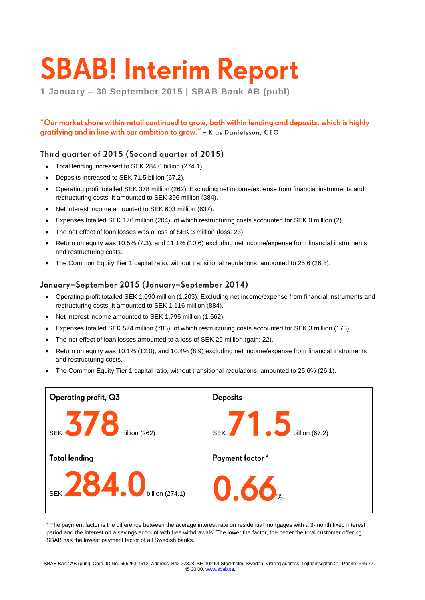# **SBAB! Interim Report**

**1 January – 30 September 2015 | SBAB Bank AB (publ)**

"Our market share within retail continued to grow, both within lending and deposits, which is highly gratifying and in line with our ambition to grow." - Klas Danielsson, CEO

### Third quarter of 2015 (Second quarter of 2015)

- Total lending increased to SEK 284.0 billion (274.1).
- Deposits increased to SEK 71.5 billion (67.2).
- Operating profit totalled SEK 378 million (262). Excluding net income/expense from financial instruments and restructuring costs, it amounted to SEK 396 million (384).
- Net interest income amounted to SEK 603 million (637).
- Expenses totalled SEK 176 million (204), of which restructuring costs accounted for SEK 0 million (2).
- The net effect of loan losses was a loss of SEK 3 million (loss: 23).
- Return on equity was 10.5% (7.3), and 11.1% (10.6) excluding net income/expense from financial instruments and restructuring costs.
- The Common Equity Tier 1 capital ratio, without transitional regulations, amounted to 25.6 (26.8).

### January-September 2015 (January-September 2014)

- Operating profit totalled SEK 1,090 million (1,203). Excluding net income/expense from financial instruments and restructuring costs, it amounted to SEK 1,116 million (884).
- Net interest income amounted to SEK 1,795 million (1,562).
- Expenses totalled SEK 574 million (785), of which restructuring costs accounted for SEK 3 million (175).
- The net effect of loan losses amounted to a loss of SEK 29 million (gain: 22).
- Return on equity was 10.1% (12.0), and 10.4% (8.9) excluding net income/expense from financial instruments and restructuring costs.
- The Common Equity Tier 1 capital ratio, without transitional regulations, amounted to 25.6% (26.1).



\* The payment factor is the difference between the average interest rate on residential mortgages with a 3-month fixed interest period and the interest on a savings account with free withdrawals. The lower the factor, the better the total customer offering. SBAB has the lowest payment factor of all Swedish banks.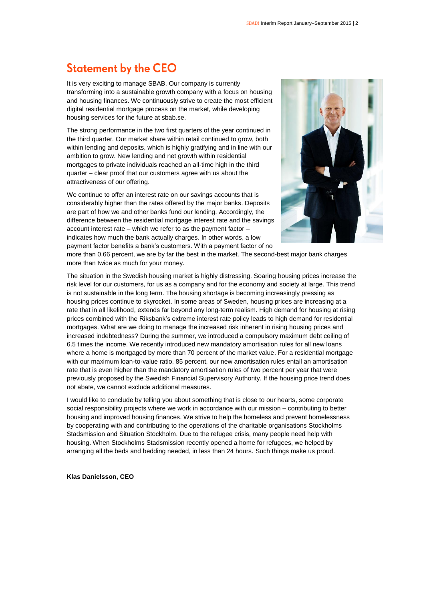### **Statement by the CEO**

It is very exciting to manage SBAB. Our company is currently transforming into a sustainable growth company with a focus on housing and housing finances. We continuously strive to create the most efficient digital residential mortgage process on the market, while developing housing services for the future at sbab.se.

The strong performance in the two first quarters of the year continued in the third quarter. Our market share within retail continued to grow, both within lending and deposits, which is highly gratifying and in line with our ambition to grow. New lending and net growth within residential mortgages to private individuals reached an all-time high in the third quarter – clear proof that our customers agree with us about the attractiveness of our offering.

We continue to offer an interest rate on our savings accounts that is considerably higher than the rates offered by the major banks. Deposits are part of how we and other banks fund our lending. Accordingly, the difference between the residential mortgage interest rate and the savings account interest rate – which we refer to as the payment factor – indicates how much the bank actually charges. In other words, a low payment factor benefits a bank's customers. With a payment factor of no



more than 0.66 percent, we are by far the best in the market. The second-best major bank charges more than twice as much for your money.

The situation in the Swedish housing market is highly distressing. Soaring housing prices increase the risk level for our customers, for us as a company and for the economy and society at large. This trend is not sustainable in the long term. The housing shortage is becoming increasingly pressing as housing prices continue to skyrocket. In some areas of Sweden, housing prices are increasing at a rate that in all likelihood, extends far beyond any long-term realism. High demand for housing at rising prices combined with the Riksbank's extreme interest rate policy leads to high demand for residential mortgages. What are we doing to manage the increased risk inherent in rising housing prices and increased indebtedness? During the summer, we introduced a compulsory maximum debt ceiling of 6.5 times the income. We recently introduced new mandatory amortisation rules for all new loans where a home is mortgaged by more than 70 percent of the market value. For a residential mortgage with our maximum loan-to-value ratio, 85 percent, our new amortisation rules entail an amortisation rate that is even higher than the mandatory amortisation rules of two percent per year that were previously proposed by the Swedish Financial Supervisory Authority. If the housing price trend does not abate, we cannot exclude additional measures.

I would like to conclude by telling you about something that is close to our hearts, some corporate social responsibility projects where we work in accordance with our mission – contributing to better housing and improved housing finances. We strive to help the homeless and prevent homelessness by cooperating with and contributing to the operations of the charitable organisations Stockholms Stadsmission and Situation Stockholm. Due to the refugee crisis, many people need help with housing. When Stockholms Stadsmission recently opened a home for refugees, we helped by arranging all the beds and bedding needed, in less than 24 hours. Such things make us proud.

**Klas Danielsson, CEO**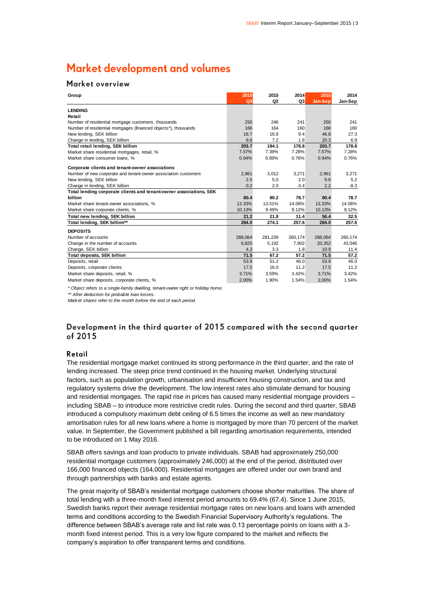### Market development and volumes

### Market overview

| Group                                                              | 2015<br>Q <sub>3</sub> | 2015<br>Q2 | 2014<br>Q <sub>3</sub> | 2015<br>Jan-Sep | 2014<br>Jan-Sep |
|--------------------------------------------------------------------|------------------------|------------|------------------------|-----------------|-----------------|
| <b>LENDING</b>                                                     |                        |            |                        |                 |                 |
| Retail                                                             |                        |            |                        |                 |                 |
| Number of residential mortgage customers, thousands                | 250                    | 246        | 241                    | 250             | 241             |
| Number of residential mortgages (financed objects*), thousands     | 166                    | 164        | 160                    | 166             | 160             |
| New lending, SEK billion                                           | 18.7                   | 16.8       | 9.4                    | 46.8            | 27.3            |
| Change in lending, SEK billion                                     | 9.6                    | 7.2        | 1.8                    | 20.3            | 6.9             |
| Total retail lending, SEK billion                                  | 203.7                  | 194.1      | 178.8                  | 203.7           | 178.8           |
| Market share residential mortgages, retail, %                      | 7.57%                  | 7.39%      | 7.28%                  | 7.57%           | 7.28%           |
| Market share consumer loans, %                                     | 0.94%                  | 0.89%      | 0.76%                  | 0.94%           | 0.76%           |
| Corporate clients and tenant-owner associations                    |                        |            |                        |                 |                 |
| Number of new corporate and tenant-owner association customers     | 2,961                  | 3,012      | 3,271                  | 2,961           | 3,271           |
| New lending, SEK billion                                           | 2.5                    | 5.0        | 2.0                    | 9.6             | 5.2             |
| Change in lending, SEK billion                                     | 0.2                    | 2.0        | $-3.4$                 | 2.2             | $-8.3$          |
| Total lending corporate clients and tenant-owner associations, SEK |                        |            |                        |                 |                 |
| billion                                                            | 80.4                   | 80.2       | 78.7                   | 80.4            | 78.7            |
| Market share tenant-owner associations, %                          | 13.33%                 | 13.51%     | 14.06%                 | 13.33%          | 14.06%          |
| Market share corporate clients, %                                  | 10.13%                 | 9.49%      | 9.12%                  | 10.13%          | 9.12%           |
| Total new lending, SEK billion                                     | 21.2                   | 21.8       | 11.4                   | 56.4            | 32.5            |
| Total lending, SEK billion**                                       | 284.0                  | 274.1      | 257.6                  | 284.0           | 257.6           |
| <b>DEPOSITS</b>                                                    |                        |            |                        |                 |                 |
| Number of accounts                                                 | 288,064                | 281,239    | 260,174                | 288,064         | 260,174         |
| Change in the number of accounts                                   | 6,825                  | 5,192      | 7,902                  | 20.352          | 43,046          |
| Change, SEK billion                                                | 4.3                    | 3.3        | 1.8                    | 10.9            | 11.4            |
| <b>Total deposits, SEK billion</b>                                 | 71.5                   | 67.2       | 57.2                   | 71.5            | 57.2            |
| Deposits, retail                                                   | 53.9                   | 51.2       | 46.0                   | 53.9            | 46.0            |
| Deposits, corporate clients                                        | 17.5                   | 16.0       | 11.2                   | 17.5            | 11.2            |
| Market share deposits, retail, %                                   | 3.71%                  | 3.59%      | 3.42%                  | 3.71%           | 3.42%           |
| Market share deposits, corporate clients, %                        | 2,00%                  | 1.90%      | 1.54%                  | 2,00%           | 1.54%           |

*\* Object refers to a single-family dwelling, tenant-owner right or holiday home.*

*\*\* After deduction for probable loan losses.*

*Market shares refer to the month before the end of each period.*

### Development in the third quarter of 2015 compared with the second quarter of 2015

#### Retail

The residential mortgage market continued its strong performance in the third quarter, and the rate of lending increased. The steep price trend continued in the housing market. Underlying structural factors, such as population growth, urbanisation and insufficient housing construction, and tax and regulatory systems drive the development. The low interest rates also stimulate demand for housing and residential mortgages. The rapid rise in prices has caused many residential mortgage providers – including SBAB – to introduce more restrictive credit rules. During the second and third quarter, SBAB introduced a compulsory maximum debt ceiling of 6.5 times the income as well as new mandatory amortisation rules for all new loans where a home is mortgaged by more than 70 percent of the market value. In September, the Government published a bill regarding amortisation requirements, intended to be introduced on 1 May 2016.

SBAB offers savings and loan products to private individuals. SBAB had approximately 250,000 residential mortgage customers (approximately 246,000) at the end of the period, distributed over 166,000 financed objects (164,000). Residential mortgages are offered under our own brand and through partnerships with banks and estate agents.

The great majority of SBAB's residential mortgage customers choose shorter maturities. The share of total lending with a three-month fixed interest period amounts to 69.4% (67.4). Since 1 June 2015, Swedish banks report their average residential mortgage rates on new loans and loans with amended terms and conditions according to the Swedish Financial Supervisory Authority's regulations. The difference between SBAB's average rate and list rate was 0.13 percentage points on loans with a 3 month fixed interest period. This is a very low figure compared to the market and reflects the company's aspiration to offer transparent terms and conditions.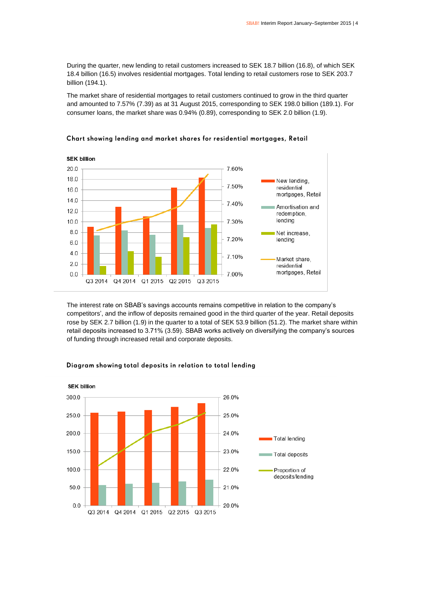During the quarter, new lending to retail customers increased to SEK 18.7 billion (16.8), of which SEK 18.4 billion (16.5) involves residential mortgages. Total lending to retail customers rose to SEK 203.7 billion (194.1).

The market share of residential mortgages to retail customers continued to grow in the third quarter and amounted to 7.57% (7.39) as at 31 August 2015, corresponding to SEK 198.0 billion (189.1). For consumer loans, the market share was 0.94% (0.89), corresponding to SEK 2.0 billion (1.9).



### Chart showing lending and market shares for residential mortgages, Retail

The interest rate on SBAB's savings accounts remains competitive in relation to the company's competitors', and the inflow of deposits remained good in the third quarter of the year. Retail deposits rose by SEK 2.7 billion (1.9) in the quarter to a total of SEK 53.9 billion (51.2). The market share within retail deposits increased to 3.71% (3.59). SBAB works actively on diversifying the company's sources of funding through increased retail and corporate deposits.



#### Diagram showing total deposits in relation to total lending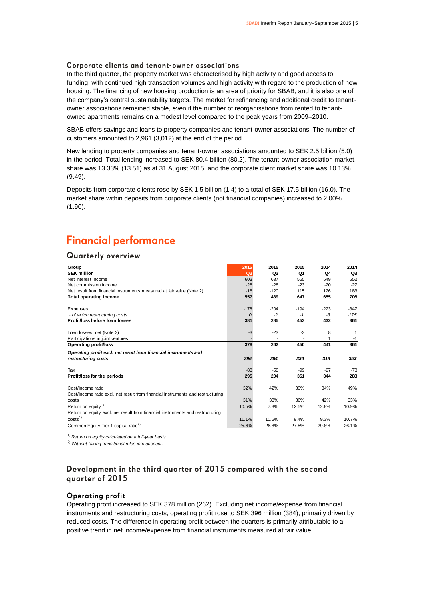### Corporate clients and tenant-owner associations

In the third quarter, the property market was characterised by high activity and good access to funding, with continued high transaction volumes and high activity with regard to the production of new housing. The financing of new housing production is an area of priority for SBAB, and it is also one of the company's central sustainability targets. The market for refinancing and additional credit to tenantowner associations remained stable, even if the number of reorganisations from rented to tenantowned apartments remains on a modest level compared to the peak years from 2009–2010.

SBAB offers savings and loans to property companies and tenant-owner associations. The number of customers amounted to 2,961 (3,012) at the end of the period.

New lending to property companies and tenant-owner associations amounted to SEK 2.5 billion (5.0) in the period. Total lending increased to SEK 80.4 billion (80.2). The tenant-owner association market share was 13.33% (13.51) as at 31 August 2015, and the corporate client market share was 10.13% (9.49).

Deposits from corporate clients rose by SEK 1.5 billion (1.4) to a total of SEK 17.5 billion (16.0). The market share within deposits from corporate clients (not financial companies) increased to 2.00% (1.90).

### **Financial performance**

### **Quarterly overview**

| Group                                                                           | 2015           | 2015   | 2015   | 2014   | 2014   |
|---------------------------------------------------------------------------------|----------------|--------|--------|--------|--------|
| <b>SEK million</b>                                                              | Q <sub>3</sub> | Q2     | Q1     | Q4     | Q3     |
| Net interest income                                                             | 603            | 637    | 555    | 549    | 552    |
| Net commission income                                                           | $-28$          | $-28$  | $-23$  | $-20$  | $-27$  |
| Net result from financial instruments measured at fair value (Note 2)           | $-18$          | $-120$ | 115    | 126    | 183    |
| <b>Total operating income</b>                                                   | 557            | 489    | 647    | 655    | 708    |
| Expenses                                                                        | $-176$         | $-204$ | $-194$ | $-223$ | $-347$ |
| - of which restructuring costs                                                  | $\Omega$       | $-2$   | $-1$   | -3     | $-175$ |
| Profit/loss before loan losses                                                  | 381            | 285    | 453    | 432    | 361    |
|                                                                                 |                |        |        |        |        |
| Loan losses, net (Note 3)                                                       | $-3$           | $-23$  | -3     | 8      | 1      |
| Participations in joint ventures                                                |                |        |        |        | $-1$   |
| <b>Operating profit/loss</b>                                                    | 378            | 262    | 450    | 441    | 361    |
| Operating profit excl. net result from financial instruments and                |                |        |        |        |        |
| restructuring costs                                                             | 396            | 384    | 336    | 318    | 353    |
| Tax                                                                             | $-83$          | $-58$  | -99    | $-97$  | $-78$  |
| Profit/loss for the periods                                                     | 295            | 204    | 351    | 344    | 283    |
| Cost/Income ratio                                                               | 32%            | 42%    | 30%    | 34%    | 49%    |
| Cost/Income ratio excl. net result from financial instruments and restructuring |                |        |        |        |        |
| costs                                                                           | 31%            | 33%    | 36%    | 42%    | 33%    |
| Return on equity <sup>1)</sup>                                                  | 10.5%          | 7.3%   | 12.5%  | 12.8%  | 10.9%  |
| Return on equity excl. net result from financial instruments and restructuring  |                |        |        |        |        |
| costs <sup>1</sup>                                                              | 11.1%          | 10.6%  | 9.4%   | 9.3%   | 10.7%  |
| Common Equity Tier 1 capital ratio <sup>2)</sup>                                | 25.6%          | 26.8%  | 27.5%  | 29.8%  | 26.1%  |

*1) Return on equity calculated on a full-year basis.*

*2)Without taking transitional rules into account.*

### Development in the third quarter of 2015 compared with the second quarter of 2015

### **Operating profit**

Operating profit increased to SEK 378 million (262). Excluding net income/expense from financial instruments and restructuring costs, operating profit rose to SEK 396 million (384), primarily driven by reduced costs. The difference in operating profit between the quarters is primarily attributable to a positive trend in net income/expense from financial instruments measured at fair value.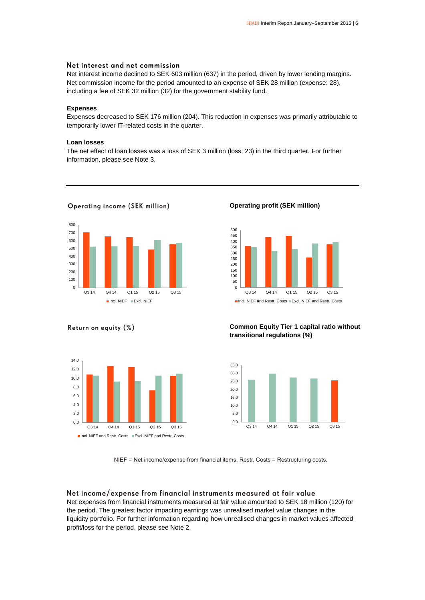### Net interest and net commission

Net interest income declined to SEK 603 million (637) in the period, driven by lower lending margins. Net commission income for the period amounted to an expense of SEK 28 million (expense: 28), including a fee of SEK 32 million (32) for the government stability fund.

### **Expenses**

Expenses decreased to SEK 176 million (204). This reduction in expenses was primarily attributable to temporarily lower IT-related costs in the quarter.

#### **Loan losses**

The net effect of loan losses was a loss of SEK 3 million (loss: 23) in the third quarter. For further information, please see Note 3.



**Operating income (SEK million)** 

**Operating profit (SEK million)**



■Incl. NIEF and Restr. Costs ■ Excl. NIEF and Restr. Costs

### **Common Equity Tier 1 capital ratio without transitional regulations (%)**



#### NIEF = Net income/expense from financial items. Restr. Costs = Restructuring costs.

Net income/expense from financial instruments measured at fair value Net expenses from financial instruments measured at fair value amounted to SEK 18 million (120) for the period. The greatest factor impacting earnings was unrealised market value changes in the liquidity portfolio. For further information regarding how unrealised changes in market values affected profit/loss for the period, please see Note 2.

#### Return on equity (%)

12.0 14.0

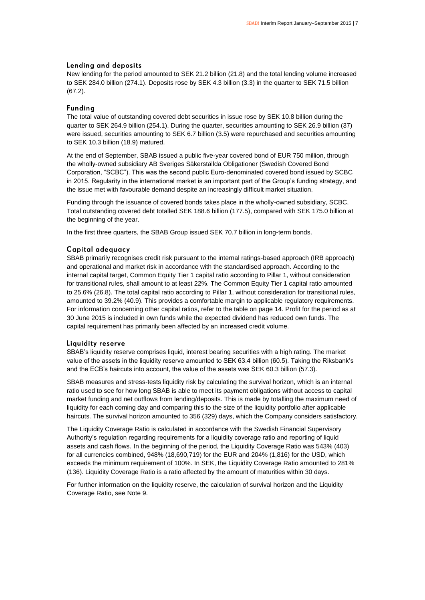#### Lending and deposits

New lending for the period amounted to SEK 21.2 billion (21.8) and the total lending volume increased to SEK 284.0 billion (274.1). Deposits rose by SEK 4.3 billion (3.3) in the quarter to SEK 71.5 billion (67.2).

### **Fundina**

The total value of outstanding covered debt securities in issue rose by SEK 10.8 billion during the quarter to SEK 264.9 billion (254.1). During the quarter, securities amounting to SEK 26.9 billion (37) were issued, securities amounting to SEK 6.7 billion (3.5) were repurchased and securities amounting to SEK 10.3 billion (18.9) matured.

At the end of September, SBAB issued a public five-year covered bond of EUR 750 million, through the wholly-owned subsidiary AB Sveriges Säkerställda Obligationer (Swedish Covered Bond Corporation, "SCBC"). This was the second public Euro-denominated covered bond issued by SCBC in 2015. Regularity in the international market is an important part of the Group's funding strategy, and the issue met with favourable demand despite an increasingly difficult market situation.

Funding through the issuance of covered bonds takes place in the wholly-owned subsidiary, SCBC. Total outstanding covered debt totalled SEK 188.6 billion (177.5), compared with SEK 175.0 billion at the beginning of the year.

In the first three quarters, the SBAB Group issued SEK 70.7 billion in long-term bonds.

#### Capital adequacy

SBAB primarily recognises credit risk pursuant to the internal ratings-based approach (IRB approach) and operational and market risk in accordance with the standardised approach. According to the internal capital target, Common Equity Tier 1 capital ratio according to Pillar 1, without consideration for transitional rules, shall amount to at least 22%. The Common Equity Tier 1 capital ratio amounted to 25.6% (26.8). The total capital ratio according to Pillar 1, without consideration for transitional rules, amounted to 39.2% (40.9). This provides a comfortable margin to applicable regulatory requirements. For information concerning other capital ratios, refer to the table on page 14. Profit for the period as at 30 June 2015 is included in own funds while the expected dividend has reduced own funds. The capital requirement has primarily been affected by an increased credit volume.

#### Liquidity reserve

SBAB's liquidity reserve comprises liquid, interest bearing securities with a high rating. The market value of the assets in the liquidity reserve amounted to SEK 63.4 billion (60.5). Taking the Riksbank's and the ECB's haircuts into account, the value of the assets was SEK 60.3 billion (57.3).

SBAB measures and stress-tests liquidity risk by calculating the survival horizon, which is an internal ratio used to see for how long SBAB is able to meet its payment obligations without access to capital market funding and net outflows from lending/deposits. This is made by totalling the maximum need of liquidity for each coming day and comparing this to the size of the liquidity portfolio after applicable haircuts. The survival horizon amounted to 356 (329) days, which the Company considers satisfactory.

The Liquidity Coverage Ratio is calculated in accordance with the Swedish Financial Supervisory Authority's regulation regarding requirements for a liquidity coverage ratio and reporting of liquid assets and cash flows. In the beginning of the period, the Liquidity Coverage Ratio was 543% (403) for all currencies combined, 948% (18,690,719) for the EUR and 204% (1,816) for the USD, which exceeds the minimum requirement of 100%. In SEK, the Liquidity Coverage Ratio amounted to 281% (136). Liquidity Coverage Ratio is a ratio affected by the amount of maturities within 30 days.

For further information on the liquidity reserve, the calculation of survival horizon and the Liquidity Coverage Ratio, see Note 9.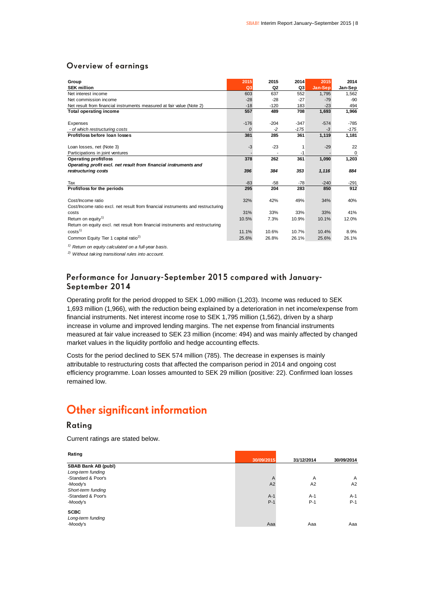### Overview of earnings

| Group                                                                           | 2015     | 2015           | 2014   | 2015    | 2014     |
|---------------------------------------------------------------------------------|----------|----------------|--------|---------|----------|
| <b>SEK million</b>                                                              | Q3       | Q <sub>2</sub> | Q3     | Jan-Sep | Jan-Sep  |
| Net interest income                                                             | 603      | 637            | 552    | 1,795   | 1,562    |
| Net commission income                                                           | $-28$    | $-28$          | $-27$  | $-79$   | $-90$    |
| Net result from financial instruments measured at fair value (Note 2)           | $-18$    | $-120$         | 183    | $-23$   | 494      |
| <b>Total operating income</b>                                                   | 557      | 489            | 708    | 1,693   | 1,966    |
|                                                                                 |          |                |        |         |          |
| Expenses                                                                        | $-176$   | $-204$         | $-347$ | $-574$  | $-785$   |
| - of which restructuring costs                                                  | $\Omega$ | $-2$           | $-175$ | $-3$    | $-175$   |
| Profit/loss before loan losses                                                  | 381      | 285            | 361    | 1,119   | 1,181    |
|                                                                                 |          |                |        |         |          |
| Loan losses, net (Note 3)                                                       | $-3$     | $-23$          | 1      | $-29$   | 22       |
| Participations in joint ventures                                                |          |                | $-1$   |         | $\Omega$ |
| <b>Operating profit/loss</b>                                                    | 378      | 262            | 361    | 1,090   | 1,203    |
| Operating profit excl. net result from financial instruments and                |          |                |        |         |          |
| restructuring costs                                                             | 396      | 384            | 353    | 1,116   | 884      |
|                                                                                 |          |                |        |         |          |
| Tax                                                                             | $-83$    | $-58$          | $-78$  | $-240$  | $-291$   |
| Profit/loss for the periods                                                     | 295      | 204            | 283    | 850     | 912      |
|                                                                                 |          |                |        |         |          |
| Cost/Income ratio                                                               | 32%      | 42%            | 49%    | 34%     | 40%      |
| Cost/Income ratio excl. net result from financial instruments and restructuring |          |                |        |         |          |
| costs                                                                           | 31%      | 33%            | 33%    | 33%     | 41%      |
| Return on equity <sup>1)</sup>                                                  | 10.5%    | 7.3%           | 10.9%  | 10.1%   | 12.0%    |
| Return on equity excl. net result from financial instruments and restructuring  |          |                |        |         |          |
| costs <sup>1</sup>                                                              | 11.1%    | 10.6%          | 10.7%  | 10.4%   | 8.9%     |
| Common Equity Tier 1 capital ratio <sup>2)</sup>                                | 25.6%    | 26.8%          | 26.1%  | 25.6%   | 26.1%    |
| <sup>1)</sup> Return on equity calculated on a full-year basis.                 |          |                |        |         |          |

*2) Without taking transitional rules into account.*

### Performance for January-September 2015 compared with January-September 2014

Operating profit for the period dropped to SEK 1,090 million (1,203). Income was reduced to SEK 1,693 million (1,966), with the reduction being explained by a deterioration in net income/expense from financial instruments. Net interest income rose to SEK 1,795 million (1,562), driven by a sharp increase in volume and improved lending margins. The net expense from financial instruments measured at fair value increased to SEK 23 million (income: 494) and was mainly affected by changed market values in the liquidity portfolio and hedge accounting effects.

Costs for the period declined to SEK 574 million (785). The decrease in expenses is mainly attributable to restructuring costs that affected the comparison period in 2014 and ongoing cost efficiency programme. Loan losses amounted to SEK 29 million (positive: 22). Confirmed loan losses remained low.

### **Other significant information**

### Rating

Current ratings are stated below.

| Rating                     |            |            |              |
|----------------------------|------------|------------|--------------|
|                            | 30/09/2015 | 31/12/2014 | 30/09/2014   |
| <b>SBAB Bank AB (publ)</b> |            |            |              |
| Long-term funding          |            |            |              |
| -Standard & Poor's         | A          | A          | $\mathsf{A}$ |
| -Moody's                   | A2         | A2         | A2           |
| Short-term funding         |            |            |              |
| -Standard & Poor's         | $A-1$      | $A-1$      | $A-1$        |
| -Moody's                   | $P-1$      | $P-1$      | $P-1$        |
| <b>SCBC</b>                |            |            |              |
| Long-term funding          |            |            |              |
| -Moody's                   | Aaa        | Aaa        | Aaa          |
|                            |            |            |              |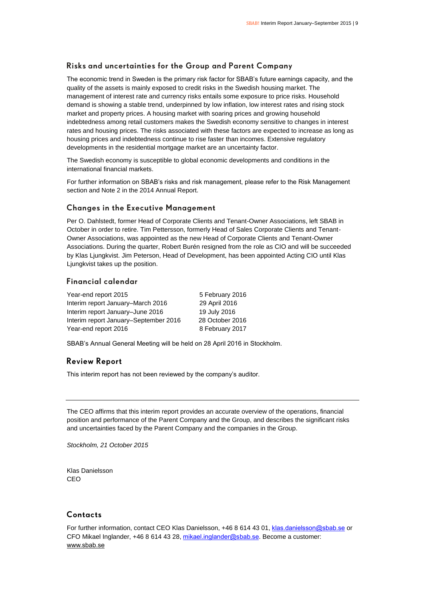### Risks and uncertainties for the Group and Parent Company

The economic trend in Sweden is the primary risk factor for SBAB's future earnings capacity, and the quality of the assets is mainly exposed to credit risks in the Swedish housing market. The management of interest rate and currency risks entails some exposure to price risks. Household demand is showing a stable trend, underpinned by low inflation, low interest rates and rising stock market and property prices. A housing market with soaring prices and growing household indebtedness among retail customers makes the Swedish economy sensitive to changes in interest rates and housing prices. The risks associated with these factors are expected to increase as long as housing prices and indebtedness continue to rise faster than incomes. Extensive regulatory developments in the residential mortgage market are an uncertainty factor.

The Swedish economy is susceptible to global economic developments and conditions in the international financial markets.

For further information on SBAB's risks and risk management, please refer to the Risk Management section and Note 2 in the 2014 Annual Report.

### **Changes in the Executive Management**

Per O. Dahlstedt, former Head of Corporate Clients and Tenant-Owner Associations, left SBAB in October in order to retire. Tim Pettersson, formerly Head of Sales Corporate Clients and Tenant-Owner Associations, was appointed as the new Head of Corporate Clients and Tenant-Owner Associations. During the quarter, Robert Burén resigned from the role as CIO and will be succeeded by Klas Ljungkvist. Jim Peterson, Head of Development, has been appointed Acting CIO until Klas Ljungkvist takes up the position.

### Financial calendar

| Year-end report 2015                  | 5 February 2016 |
|---------------------------------------|-----------------|
| Interim report January–March 2016     | 29 April 2016   |
| Interim report January-June 2016      | 19 July 2016    |
| Interim report January–September 2016 | 28 October 2016 |
| Year-end report 2016                  | 8 February 2017 |

SBAB's Annual General Meeting will be held on 28 April 2016 in Stockholm.

### **Review Report**

This interim report has not been reviewed by the company's auditor.

The CEO affirms that this interim report provides an accurate overview of the operations, financial position and performance of the Parent Company and the Group, and describes the significant risks and uncertainties faced by the Parent Company and the companies in the Group.

*Stockholm, 21 October 2015*

Klas Danielsson C<sub>EO</sub>

### Contacts

For further information, contact CEO Klas Danielsson, +46 8 614 43 01, [klas.danielsson@sbab.se](mailto:klas.danielsson@sbab.se) or CFO Mikael Inglander, +46 8 614 43 28[, mikael.inglander@sbab.se.](mailto:mikael.inglander@sbab.se) Become a customer: [www.sbab.se](http://www.sbab.se/)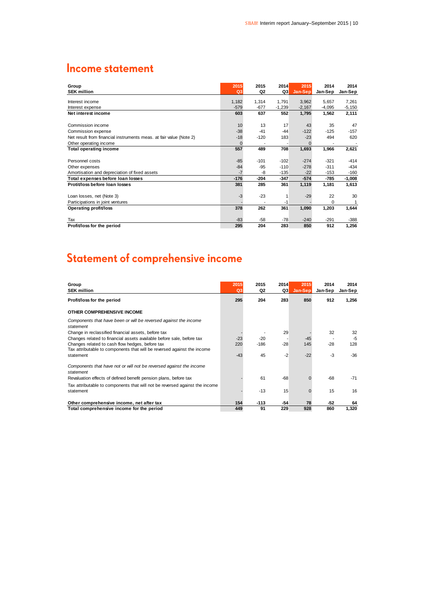### **Income statement**

| Group<br><b>SEK million</b>                                        | 2015<br>Q <sub>3</sub> | 2015<br>Q2 | 2014<br>Q3 | 2015<br>Jan-Sep | 2014<br>Jan-Sep | 2014<br>Jan-Sep |
|--------------------------------------------------------------------|------------------------|------------|------------|-----------------|-----------------|-----------------|
|                                                                    |                        |            |            |                 |                 |                 |
| Interest income                                                    | 1,182                  | 1,314      | 1,791      | 3,962           | 5,657           | 7,261           |
| Interest expense                                                   | $-579$                 | $-677$     | $-1,239$   | $-2,167$        | $-4,095$        | $-5,150$        |
| Net interest income                                                | 603                    | 637        | 552        | 1,795           | 1,562           | 2,111           |
|                                                                    |                        |            |            |                 |                 |                 |
| Commission income                                                  | 10                     | 13         | 17         | 43              | 35              | 47              |
| Commission expense                                                 | $-38$                  | $-41$      | $-44$      | $-122$          | $-125$          | $-157$          |
| Net result from financial instruments meas. at fair value (Note 2) | $-18$                  | $-120$     | 183        | $-23$           | 494             | 620             |
| Other operating income                                             | $\Omega$               |            |            | $\Omega$        |                 |                 |
| <b>Total operating income</b>                                      | 557                    | 489        | 708        | 1,693           | 1,966           | 2,621           |
|                                                                    |                        |            |            |                 |                 |                 |
| Personnel costs                                                    | $-85$                  | $-101$     | $-102$     | $-274$          | $-321$          | $-414$          |
| Other expenses                                                     | $-84$                  | $-95$      | $-110$     | $-278$          | $-311$          | $-434$          |
| Amortisation and depreciation of fixed assets                      | $-7$                   | -8         | $-135$     | $-22$           | $-153$          | $-160$          |
| Total expenses before loan losses                                  | $-176$                 | $-204$     | $-347$     | $-574$          | -785            | $-1,008$        |
| Protit/loss before loan losses                                     | 381                    | 285        | 361        | 1,119           | 1,181           | 1,613           |
|                                                                    |                        |            |            |                 |                 |                 |
| Loan losses, net (Note 3)                                          | $-3$                   | $-23$      | 1          | $-29$           | 22              | 30              |
| Participations in joint ventures                                   |                        |            | -1         |                 | $\Omega$        | 1               |
| <b>Operating profit/loss</b>                                       | 378                    | 262        | 361        | 1,090           | 1,203           | 1,644           |
|                                                                    |                        |            |            |                 |                 |                 |
| Tax                                                                | $-83$                  | $-58$      | $-78$      | $-240$          | $-291$          | $-388$          |
| Profit/loss for the period                                         | 295                    | 204        | 283        | 850             | 912             | 1,256           |

## Statement of comprehensive income

| Group<br><b>SEK million</b>                                                                                                | 2015<br>Q <sub>3</sub> | 2015<br>Q2 | 2014<br>Q3 | 2015<br>Jan-Sep | 2014<br>Jan-Sep | 2014<br>Jan-Sep |
|----------------------------------------------------------------------------------------------------------------------------|------------------------|------------|------------|-----------------|-----------------|-----------------|
| Profit/loss for the period                                                                                                 | 295                    | 204        | 283        | 850             | 912             | 1,256           |
| OTHER COMPREHENSIVE INCOME                                                                                                 |                        |            |            |                 |                 |                 |
| Components that have been or will be reversed against the income<br>statement                                              |                        |            |            |                 |                 |                 |
| Change in reclassified financial assets, before tax                                                                        |                        |            | 29         |                 | 32              | 32              |
| Changes related to financial assets available before sale, before tax                                                      | $-23$                  | -20        |            | $-45$           |                 | $-5$            |
| Changes related to cash flow hedges, before tax<br>Tax attributable to components that will be reversed against the income | 220                    | $-186$     | $-28$      | 145             | $-28$           | 128             |
| statement                                                                                                                  | $-43$                  | 45         | $-2$       | $-22$           | -3              | $-36$           |
| Components that have not or will not be reversed against the income<br>statement                                           |                        |            |            |                 |                 |                 |
| Revaluation effects of defined benefit pension plans, before tax                                                           |                        | 61         | $-68$      |                 | $-68$           | $-71$           |
| Tax attributable to components that will not be reversed against the income                                                |                        |            |            |                 |                 |                 |
| statement                                                                                                                  |                        | $-13$      | 15         | O               | 15              | 16              |
| Other comprehensive income, net after tax                                                                                  | 154                    | $-113$     | $-54$      | 78              | -52             | 64              |
| Total comprehensive income for the period                                                                                  | 449                    | 91         | 229        | 928             | 860             | 1.320           |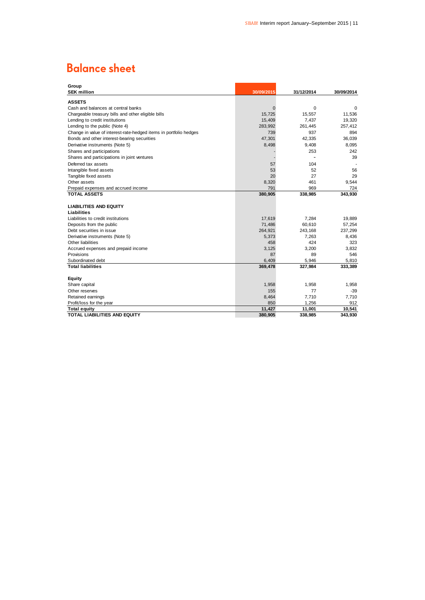### **Balance sheet**

| Group                                                             |               |                 |               |
|-------------------------------------------------------------------|---------------|-----------------|---------------|
| <b>SEK million</b>                                                | 30/09/2015    | 31/12/2014      | 30/09/2014    |
| <b>ASSETS</b>                                                     |               |                 |               |
| Cash and balances at central banks                                | 0             | 0               | 0             |
| Chargeable treasury bills and other eligible bills                | 15,725        | 15,557          | 11,536        |
| Lending to credit institutions                                    | 15,409        | 7,437           | 19,320        |
| Lending to the public (Note 4)                                    | 283,992       | 261,445         | 257,412       |
| Change in value of interest-rate-hedged items in portfolio hedges | 739           | 937             | 894           |
| Bonds and other interest-bearing securities                       | 47,301        | 42,335          | 36,039        |
| Derivative instruments (Note 5)                                   | 8,498         | 9,408           | 8,095         |
| Shares and participations                                         |               | 253             | 242           |
| Shares and participations in joint ventures                       |               |                 | 39            |
| Deferred tax assets                                               | 57            | 104             |               |
| Intangible fixed assets                                           | 53            | 52              | 56            |
| Tangible fixed assets                                             | 20            | 27              | 29            |
| Other assets                                                      | 8,320         | 461             | 9,544         |
| Prepaid expenses and accrued income                               | 791           | 969             | 724           |
| <b>TOTAL ASSETS</b>                                               | 380,905       | 338,985         | 343,930       |
|                                                                   |               |                 |               |
| <b>LIABILITIES AND EQUITY</b>                                     |               |                 |               |
| Liabilities                                                       |               |                 |               |
| Liabilities to credit institutions                                | 17,619        | 7,284           | 19,889        |
| Deposits from the public                                          | 71,486        | 60,610          | 57,254        |
| Debt securities in issue                                          | 264,921       | 243,168         | 237,299       |
| Derivative instruments (Note 5)                                   | 5,373         | 7,263           | 8,436         |
| Other liabilities                                                 | 458           | 424             | 323           |
| Accrued expenses and prepaid income                               | 3,125         | 3,200           | 3,832         |
| Provisions                                                        | 87            | 89              | 546           |
| Subordinated debt                                                 | 6,409         | 5,946           | 5,810         |
| <b>Total liabilities</b>                                          | 369,478       | 327,984         | 333,389       |
|                                                                   |               |                 |               |
| <b>Equity</b>                                                     |               |                 |               |
| Share capital                                                     | 1,958         | 1,958           | 1,958         |
| Other reserves                                                    | 155           | 77              | $-39$         |
| Retained earnings                                                 | 8,464         | 7,710           | 7,710         |
| Profit/loss for the year                                          | 850<br>11,427 | 1,256<br>11,001 | 912<br>10,541 |
| <b>Total equity</b><br><b>TOTAL LIABILITIES AND EQUITY</b>        | 380,905       | 338,985         | 343,930       |
|                                                                   |               |                 |               |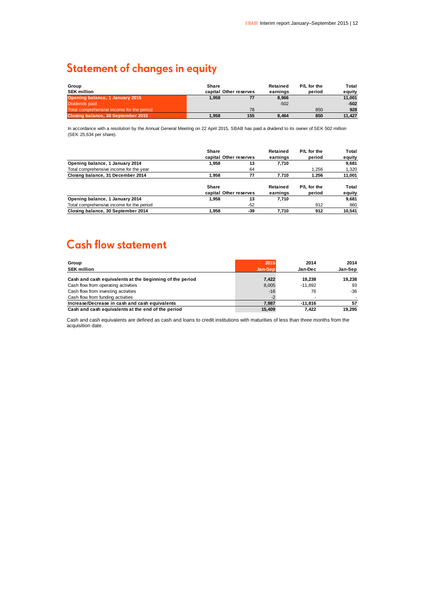### **Statement of changes in equity**

| Group                                     | Share |                        | Retained | P/L for the | Total  |
|-------------------------------------------|-------|------------------------|----------|-------------|--------|
| <b>SEK million</b>                        |       | capital Other reserves | earnings | period      | eauitv |
| Opening balance, 1 January 2015           | 1.958 |                        | 8,966    |             | 11.001 |
| Dividends paid                            |       |                        | $-502$   |             | $-502$ |
| Total comprehensive income for the period |       | 78                     |          | 850         | 928    |
| Closing balance, 30 September 2015        | 1.958 | 155                    | 8.464    | 850         | 11.427 |

In accordance with a resolution by the Annual General Meeting on 22 April 2015, SBAB has paid a dividend to its owner of SEK 502 million (SEK 25,634 per share).

|                                           | Share                  |                        | Retained | P/L for the | Total  |
|-------------------------------------------|------------------------|------------------------|----------|-------------|--------|
|                                           | capital Other reserves |                        | earnings | period      | equity |
| Opening balance, 1 January 2014           | 1.958                  | 13                     | 7.710    |             | 9.681  |
| Total comprehensive income for the year   |                        | 64                     |          | 1.256       | 1,320  |
| Closing balance, 31 December 2014         | 1.958                  | 77                     | 7.710    | 1.256       | 11,001 |
|                                           | Share                  |                        | Retained | P/L for the | Total  |
|                                           |                        | capital Other reserves |          | period      | equity |
| Opening balance, 1 January 2014           | 1.958                  | 13                     | 7.710    |             | 9.681  |
| Total comprehensive income for the period |                        | $-52$                  |          | 912         | 860    |
| Closing balance, 30 September 2014        | 1.958                  | -39                    | 7.710    | 912         | 10.541 |

### **Cash flow statement**

| Group                                                    | 2015    | 2014      | 2014    |
|----------------------------------------------------------|---------|-----------|---------|
| <b>SEK million</b>                                       | Jan-Sep | Jan-Dec   | Jan-Sep |
| Cash and cash equivalents at the beginning of the period | 7,422   | 19.238    | 19.238  |
| Cash flow from operating activities                      | 8,005   | $-11.892$ | 93      |
| Cash flow from investing activities                      | $-16$   | 76        | -36     |
| Cash flow from funding activities                        | -2      |           |         |
| Increase/Decrease in cash and cash equivalents           | 7.987   | $-11.816$ | 57      |
| Cash and cash equivalents at the end of the period       | 15.409  | 7.422     | 19.295  |

Cash and cash equivalents are defined as cash and loans to credit institutions with maturities of less than three months from the acquisition date.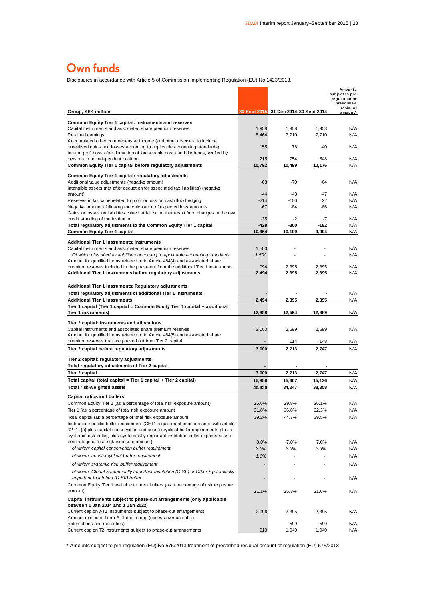### Own funds

Disclosures in accordance with Article 5 of Commission Implementing Regulation (EU) No 1423/2013.

| Disclosures in accordance with Article 5 of Commission Implementing Regulation (EU) No 1423/2013.                                                                                                                                                                  |                  |                                       |                  |                                                                       |
|--------------------------------------------------------------------------------------------------------------------------------------------------------------------------------------------------------------------------------------------------------------------|------------------|---------------------------------------|------------------|-----------------------------------------------------------------------|
|                                                                                                                                                                                                                                                                    |                  |                                       |                  | Amounts<br>subject to pre-<br>regulation or<br>prescribed<br>residual |
| Group, SEK million                                                                                                                                                                                                                                                 |                  | 30 Sept 2015 31 Dec 2014 30 Sept 2014 |                  | amount*                                                               |
| Common Equity Tier 1 capital: instruments and reserves<br>Capital instruments and associated share premium reserves<br>Retained earnings                                                                                                                           | 1,958<br>8,464   | 1,958<br>7,710                        | 1,958<br>7,710   | N/A<br>N/A                                                            |
| Accumulated other comprehensive income (and other reserves, to include<br>unrealised gains and losses according to applicable accounting standards)                                                                                                                | 155              | 76                                    | $-40$            | N/A                                                                   |
| Interim profit/loss after deduction of foreseeable costs and dividends, verified by<br>persons in an independent position                                                                                                                                          | 215              | 754                                   | 548              | N/A                                                                   |
| Common Equity Tier 1 capital before regulatory adjustments                                                                                                                                                                                                         | 10,792           | 10,499                                | 10,176           | N/A                                                                   |
| Common Equity Tier 1 capital: regulatory adjustments<br>Additional value adjustments (negative amount)<br>Intangible assets (net after deduction for associated tax liabilities) (negative                                                                         | -68              | $-70$                                 | $-64$            | N/A                                                                   |
| amount)                                                                                                                                                                                                                                                            | $-44$            | -43                                   | -47              | N/A                                                                   |
| Reserves in fair value related to profit or loss on cash flow hedging                                                                                                                                                                                              | $-214$           | $-100$                                | 22               | N/A                                                                   |
| Negative amounts following the calculation of expected loss amounts<br>Gains or losses on liabilities valued at fair value that result from changes in the own                                                                                                     | -67              | $-84$                                 | -86              | N/A                                                                   |
| credit standing of the institution<br>Total regulatory adjustments to the Common Equity Tier 1 capital                                                                                                                                                             | $-35$<br>-428    | -2<br>-300                            | -7<br>-182       | N/A<br>N/A                                                            |
| <b>Common Equity Tier 1 capital</b>                                                                                                                                                                                                                                | 10,364           | 10,199                                | 9,994            | N/A                                                                   |
| <b>Additional Tier 1 instruments: instruments</b>                                                                                                                                                                                                                  |                  |                                       |                  |                                                                       |
| Capital instruments and associated share premium reserves                                                                                                                                                                                                          | 1,500            |                                       |                  | N/A                                                                   |
| Of which classified as liabilities according to applicable accounting standards                                                                                                                                                                                    | 1,500            |                                       |                  | N/A                                                                   |
| Amount for qualified items referred to in Article 484(4) and associated share                                                                                                                                                                                      |                  |                                       |                  |                                                                       |
| premium reserves included in the phase-out from the additional Tier 1 instruments<br>Additional Tier 1 instruments before regulatory adjustments                                                                                                                   | 994<br>2,494     | 2.395<br>2,395                        | 2,395<br>2,395   | N/A<br>N/A                                                            |
|                                                                                                                                                                                                                                                                    |                  |                                       |                  |                                                                       |
| Additional Tier 1 instruments: Regulatory adjustments                                                                                                                                                                                                              |                  |                                       |                  |                                                                       |
| Total regulatory adjustments of additional Tier 1 instruments                                                                                                                                                                                                      |                  |                                       |                  | N/A                                                                   |
| <b>Additional Tier 1 instruments</b>                                                                                                                                                                                                                               | 2,494            | 2,395                                 | 2,395            | N/A                                                                   |
| Tier 1 capital (Tier 1 capital = Common Equity Tier 1 capital + additional<br>Tier 1 instruments)                                                                                                                                                                  | 12,858           | 12,594                                | 12,389           | N/A                                                                   |
|                                                                                                                                                                                                                                                                    |                  |                                       |                  |                                                                       |
| Tier 2 capital: instruments and allocations<br>Capital instruments and associated share premium reserves                                                                                                                                                           | 3,000            | 2,599                                 | 2,599            | N/A                                                                   |
| Amount for qualified items referred to in Article 484(5) and associated share                                                                                                                                                                                      |                  |                                       |                  |                                                                       |
| premium reserves that are phased out from Tier 2 capital                                                                                                                                                                                                           |                  | 114                                   | 148              | N/A                                                                   |
| Tier 2 capital before regulatory adjustments                                                                                                                                                                                                                       | 3,000            | 2,713                                 | 2,747            | N/A                                                                   |
| Tier 2 capital: regulatory adjustments                                                                                                                                                                                                                             |                  |                                       |                  |                                                                       |
| Total regulatory adjustments of Tier 2 capital                                                                                                                                                                                                                     |                  |                                       |                  |                                                                       |
| Tier 2 capital                                                                                                                                                                                                                                                     | 3,000            | 2,713                                 | 2,747            | N/A                                                                   |
| Total capital (total capital = Tier 1 capital + Tier 2 capital)<br>Total risk-weighted assets                                                                                                                                                                      | 15,858<br>40,429 | 15,307<br>34.247                      | 15,136<br>38,358 | N/A<br>N/A                                                            |
|                                                                                                                                                                                                                                                                    |                  |                                       |                  |                                                                       |
| Capital ratios and buffers<br>Common Equity Tier 1 (as a percentage of total risk exposure amount)                                                                                                                                                                 | 25.6%            | 29.8%                                 | 26.1%            | N/A                                                                   |
| Tier 1 (as a percentage of total risk exposure amount                                                                                                                                                                                                              | 31.8%            | 36.8%                                 | 32.3%            | N/A                                                                   |
| Total capital (as a percentage of total risk exposure amount                                                                                                                                                                                                       | 39.2%            | 44.7%                                 | 39.5%            | N/A                                                                   |
| Institution specific buffer requirement (CET1 requirement in accordance with article<br>92 (1) (a) plus capital conservation and countercyclical buffer requirements plus a<br>systemic risk buffer, plus systemically important institution buffer expressed as a |                  |                                       |                  |                                                                       |
| percentage of total risk exposure amount)                                                                                                                                                                                                                          | 8.0%             | 7.0%                                  | 7.0%             | N/A                                                                   |
| of which: capital conservation buffer requirement                                                                                                                                                                                                                  | 2.5%             | 2.5%                                  | 2.5%             | N/A                                                                   |
| of which: countercyclical buffer requirement                                                                                                                                                                                                                       | 1.0%             |                                       |                  | N/A                                                                   |
| of which: systemic risk buffer requirement<br>of which: Global Systemically Important Institution (G-SII) or Other Systemically                                                                                                                                    |                  |                                       |                  | N/A                                                                   |
| Important Institution (O-SII) buffer<br>Common Equity Tier 1 available to meet buffers (as a percentage of risk exposure                                                                                                                                           |                  |                                       |                  | N/A                                                                   |
| amount)                                                                                                                                                                                                                                                            | 21.1%            | 25.3%                                 | 21.6%            | N/A                                                                   |
| Capital instruments subject to phase-out arrangements (only applicable<br>between 1 Jan 2014 and 1 Jan 2022)                                                                                                                                                       |                  |                                       |                  |                                                                       |
| Current cap on AT1 instruments subject to phase-out arrangements<br>Amount excluded f rom AT1 due to cap (excess over cap af ter                                                                                                                                   | 2,096            | 2,395                                 | 2,395            | N/A                                                                   |
| redemptions and maturities)<br>Current cap on T2 instruments subject to phase-out arrangements                                                                                                                                                                     | 910              | 599<br>1,040                          | 599<br>1,040     | N/A<br>N/A                                                            |

\* Amounts subject to pre-regulation (EU) No 575/2013 treatment of prescribed residual amount of regulation (EU) 575/2013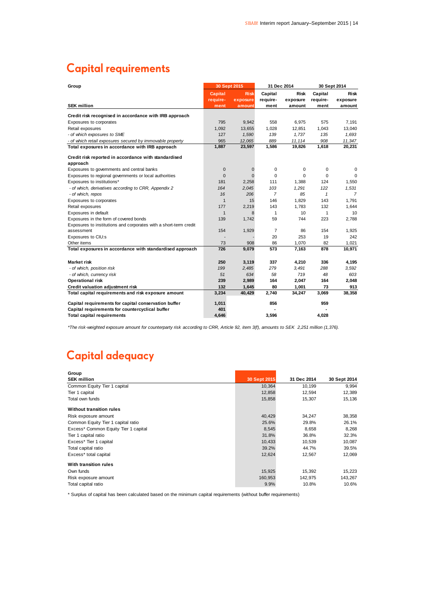### **Capital requirements**

| Group                                                             | 30 Sept 2015   |             |                | 31 Dec 2014 | 30 Sept 2014 |             |
|-------------------------------------------------------------------|----------------|-------------|----------------|-------------|--------------|-------------|
|                                                                   | <b>Capital</b> | <b>Risk</b> | Capital        | <b>Risk</b> | Capital      | <b>Risk</b> |
|                                                                   | require-       | exposure    | require-       | exposure    | require-     | exposure    |
| <b>SEK million</b>                                                | ment           | amount      | ment           | amount      | ment         | amount      |
| Credit risk recognised in accordance with IRB approach            |                |             |                |             |              |             |
| Exposures to corporates                                           | 795            | 9,942       | 558            | 6,975       | 575          | 7,191       |
| Retail exposures                                                  | 1,092          | 13,655      | 1,028          | 12,851      | 1,043        | 13,040      |
| - of which exposures to SME                                       | 127            | 1,590       | 139            | 1.737       | 135          | 1,693       |
| - of which retail exposures secured by immovable property         | 965            | 12,065      | 889            | 11,114      | 908          | 11,347      |
| Total exposures in accordance with IRB approach                   | 1,887          | 23,597      | 1,586          | 19,826      | 1,618        | 20,231      |
| Credit risk reported in accordance with standardised              |                |             |                |             |              |             |
| approach                                                          |                |             |                |             |              |             |
| Exposures to governments and central banks                        | $\pmb{0}$      | $\mathbf 0$ | 0              | 0           | 0            | 0           |
| Exposures to regional governments or local authorities            | $\mathbf 0$    | $\Omega$    | $\mathbf 0$    | $\Omega$    | 0            | 0           |
| Exposures to institutions*                                        | 181            | 2,258       | 111            | 1,388       | 124          | 1,550       |
| - of which, derivatives according to CRR, Appendix 2              | 164            | 2,045       | 103            | 1,291       | 122          | 1,531       |
| - of which, repos                                                 | 16             | 206         | $\overline{7}$ | 85          | 1            | 7           |
| Exposures to corporates                                           | $\mathbf{1}$   | 15          | 146            | 1,829       | 143          | 1,791       |
| Retail exposures                                                  | 177            | 2,219       | 143            | 1,783       | 132          | 1,644       |
| Exposures in default                                              | $\mathbf{1}$   | 8           | 1              | 10          | 1            | 10          |
| Exposures in the form of covered bonds                            | 139            | 1,742       | 59             | 744         | 223          | 2,788       |
| Exposures to institutions and corporates with a short-term credit |                |             |                |             |              |             |
| assessment                                                        | 154            | 1,929       | $\overline{7}$ | 86          | 154          | 1,925       |
| Exposures to CIU:s                                                |                |             | 20             | 253         | 19           | 242         |
| Other items                                                       | 73             | 908         | 86             | 1,070       | 82           | 1,021       |
| Total exposures in accordance with standardised approach          | 726            | 9,079       | 573            | 7,163       | 878          | 10,971      |
| <b>Market risk</b>                                                | 250            | 3,119       | 337            | 4,210       | 336          | 4,195       |
| - of which, position risk                                         | 199            | 2,485       | 279            | 3,491       | 288          | 3,592       |
| - of which, currency risk                                         | 51             | 634         | 58             | 719         | 48           | 603         |
| <b>Operational risk</b>                                           | 239            | 2,989       | 164            | 2,047       | 164          | 2,048       |
| Credit valuation adjustment risk                                  | 132            | 1,645       | 80             | 1,001       | 73           | 913         |
| Total capital requirements and risk exposure amount               | 3,234          | 40,429      | 2,740          | 34,247      | 3,069        | 38,358      |
| Capital requirements for capital conservation buffer              | 1,011          |             | 856            |             | 959          |             |
| Capital requirements for countercyclical buffer                   | 401            |             |                |             |              |             |
| <b>Total capital requirements</b>                                 | 4,646          |             | 3,596          |             | 4,028        |             |

*\*The risk-weighted exposure amount for counterparty risk according to CRR, Article 92, item 3(f), amounts to SEK 2,251 million (1,376).*

### **Capital adequacy**

| Group                                |              |             |              |
|--------------------------------------|--------------|-------------|--------------|
| <b>SEK million</b>                   | 30 Sept 2015 | 31 Dec 2014 | 30 Sept 2014 |
| Common Equity Tier 1 capital         | 10,364       | 10,199      | 9,994        |
| Tier 1 capital                       | 12,858       | 12,594      | 12,389       |
| Total own funds                      | 15,858       | 15,307      | 15,136       |
| <b>Without transition rules</b>      |              |             |              |
| Risk exposure amount                 | 40,429       | 34,247      | 38,358       |
| Common Equity Tier 1 capital ratio   | 25.6%        | 29.8%       | 26.1%        |
| Excess* Common Equity Tier 1 capital | 8,545        | 8,658       | 8,268        |
| Tier 1 capital ratio                 | 31.8%        | 36.8%       | 32.3%        |
| Excess* Tier 1 capital               | 10,433       | 10,539      | 10,087       |
| Total capital ratio                  | 39.2%        | 44.7%       | 39.5%        |
| Excess* total capital                | 12,624       | 12,567      | 12,069       |
| With transition rules                |              |             |              |
| Own funds                            | 15,925       | 15,392      | 15,223       |
| Risk exposure amount                 | 160,953      | 142,975     | 143,267      |
| Total capital ratio                  | 9.9%         | 10.8%       | 10.6%        |

\* Surplus of capital has been calculated based on the minimum capital requirements (without buffer requirements)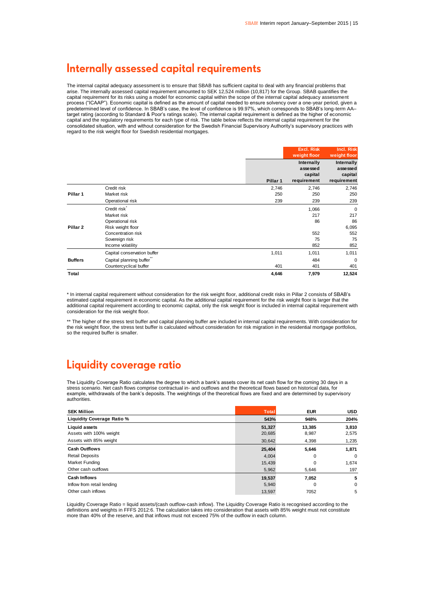### Internally assessed capital requirements

The internal capital adequacy assessment is to ensure that SBAB has sufficient capital to deal with any financial problems that arise. The internally assessed capital requirement amounted to SEK 12,524 million (10,817) for the Group. SBAB quantifies the capital requirement for its risks using a model for economic capital within the scope of the internal capital adequacy assessment process ("ICAAP"). Economic capital is defined as the amount of capital needed to ensure solvency over a one-year period, given a predetermined level of confidence. In SBAB's case, the level of confidence is 99.97%, which corresponds to SBAB's long-term AA– target rating (according to Standard & Poor's ratings scale). The internal capital requirement is defined as the higher of economic capital and the regulatory requirements for each type of risk. The table below reflects the internal capital requirement for the consolidated situation, with and without consideration for the Swedish Financial Supervisory Authority's supervisory practices with regard to the risk weight floor for Swedish residential mortgages.

|                     |                             |          | <b>Excl. Risk</b><br>weight floor                | Incl. Risk<br>weight floor                       |
|---------------------|-----------------------------|----------|--------------------------------------------------|--------------------------------------------------|
|                     |                             | Pillar 1 | Internally<br>assessed<br>capital<br>requirement | Internally<br>assessed<br>capital<br>requirement |
|                     | Credit risk                 | 2,746    | 2,746                                            | 2,746                                            |
| Pillar <sub>1</sub> | Market risk                 | 250      | 250                                              | 250                                              |
|                     | Operational risk            | 239      | 239                                              | 239                                              |
|                     | Credit risk <sup>*</sup>    |          | 1,066                                            | $\mathbf 0$                                      |
|                     | Market risk                 |          | 217                                              | 217                                              |
|                     | Operational risk            |          | 86                                               | 86                                               |
| Pillar <sub>2</sub> | Risk weight floor           |          |                                                  | 6,095                                            |
|                     | Concentration risk          |          | 552                                              | 552                                              |
|                     | Sovereign risk              |          | 75                                               | 75                                               |
|                     | Income volatility           |          | 852                                              | 852                                              |
|                     | Capital conservation buffer | 1,011    | 1,011                                            | 1,011                                            |
| <b>Buffers</b>      | Capital planning buffer"    |          | 484                                              | $\mathbf 0$                                      |
|                     | Countercyclical buffer      | 401      | 401                                              | 401                                              |
| Total               |                             | 4,646    | 7,979                                            | 12,524                                           |

\* In internal capital requirement without consideration for the risk weight floor, additional credit risks in Pillar 2 consists of SBAB's estimated capital requirement in economic capital. As the additional capital requirement for the risk weight floor is larger that the additional capital requirement according to economic capital, only the risk weight floor is included in internal capital requirement with consideration for the risk weight floor.

\*\* The higher of the stress test buffer and capital planning buffer are included in internal capital requirements. With consideration for the risk weight floor, the stress test buffer is calculated without consideration for risk migration in the residential mortgage portfolios, so the required buffer is smaller.

### Liquidity coverage ratio

The Liquidity Coverage Ratio calculates the degree to which a bank's assets cover its net cash flow for the coming 30 days in a stress scenario. Net cash flows comprise contractual in- and outflows and the theoretical flows based on historical data, for example, withdrawals of the bank's deposits. The weightings of the theoretical flows are fixed and are determined by supervisory authorities.

| <b>SEK Million</b>                       | <b>Total</b>     | <b>EUR</b>      | <b>USD</b>     |
|------------------------------------------|------------------|-----------------|----------------|
| Liquidity Coverage Ratio %               | 543%             | 948%            | 204%           |
| Liquid assets<br>Assets with 100% weight | 51,327<br>20,685 | 13,385<br>8,987 | 3,810<br>2,575 |
| Assets with 85% weight                   | 30,642           | 4,398           | 1,235          |
| <b>Cash Outflows</b>                     | 25,404           | 5,646           | 1,871          |
| <b>Retail Deposits</b>                   | 4,004            | 0               | $\mathbf 0$    |
| Market Funding                           | 15,439           | 0               | 1,674          |
| Other cash outflows                      | 5,962            | 5,646           | 197            |
| Cash Inflows                             | 19,537           | 7,052           | 5              |
| Inflow from retail lending               | 5,940            | 0               | $\mathbf 0$    |
| Other cash inflows                       | 13,597           | 7052            | 5              |

Liquidity Coverage Ratio = liquid assets/(cash outflow-cash inflow). The Liquidity Coverage Ratio is recognised according to the definitions and weights in FFFS 2012:6. The calculation takes into consideration that assets with 85% weight must not constitute more than 40% of the reserve, and that inflows must not exceed 75% of the outflow in each column.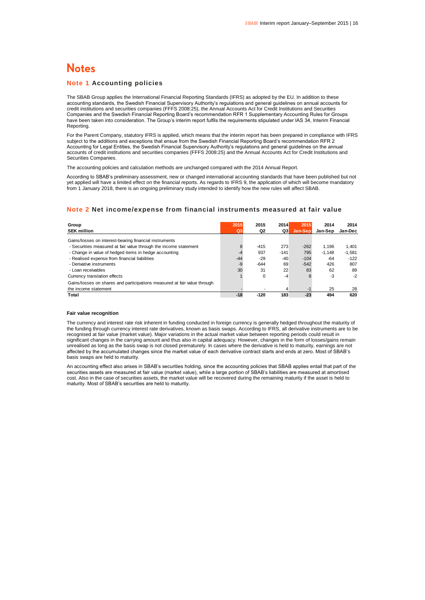### **Notes**

#### **Note 1 Accounting policies**

The SBAB Group applies the International Financial Reporting Standards (IFRS) as adopted by the EU. In addition to these accounting standards, the Swedish Financial Supervisory Authority's regulations and general guidelines on annual accounts for credit institutions and securities companies (FFFS 2008:25), the Annual Accounts Act for Credit Institutions and Securities Companies and the Swedish Financial Reporting Board's recommendation RFR 1 Supplementary Accounting Rules for Groups have been taken into consideration. The Group's interim report fulfils the requirements stipulated under IAS 34, Interim Financial Reporting.

For the Parent Company, statutory IFRS is applied, which means that the interim report has been prepared in compliance with IFRS subject to the additions and exceptions that ensue from the Swedish Financial Reporting Board's recommendation RFR 2 Accounting for Legal Entities, the Swedish Financial Supervisory Authority's regulations and general guidelines on the annual accounts of credit institutions and securities companies (FFFS 2008:25) and the Annual Accounts Act for Credit Institutions and Securities Companies.

The accounting policies and calculation methods are unchanged compared with the 2014 Annual Report.

According to SBAB's preliminary assessment, new or changed international accounting standards that have been published but not yet applied will have a limited effect on the financial reports. As regards to IFRS 9, the application of which will become mandatory from 1 January 2018, there is an ongoing preliminary study intended to identify how the new rules will affect SBAB.

#### **Note 2 Net income/expense from financial instruments measured at fair value**

| Group<br><b>SEK million</b>                                              | 2015<br>Q3 | 2015<br>Q2 | 2014<br>Q3 | 2015<br>Jan-Sep | 2014<br>Jan-Sep | 2014<br><b>Jan-Dec</b> |
|--------------------------------------------------------------------------|------------|------------|------------|-----------------|-----------------|------------------------|
| Gains/losses on interest-bearing financial instruments                   |            |            |            |                 |                 |                        |
| - Securities measured at fair value through the income statement         | 8          | $-415$     | 273        | $-262$          | 1.196           | 1.401                  |
| - Change in value of hedged items in hedge accounting                    | -4         | 937        | $-141$     | 795             | $-1.148$        | $-1,581$               |
| - Realised expense from financial liabilities                            | $-44$      | $-29$      | $-40$      | $-104$          | $-64$           | $-122$                 |
| - Derivative instruments                                                 | $-9$       | $-644$     | 69         | $-542$          | 426             | 807                    |
| - Loan receivables                                                       | 30         | 31         | 22         | 83              | 62              | 89                     |
| Currency translation effects                                             |            | 0          | $-4$       | 8               | -3              | $-2$                   |
| Gains/losses on shares and participations measured at fair value through |            |            |            |                 |                 |                        |
| the income statement                                                     |            |            | 4          | -1              | 25              | 28                     |
| Total                                                                    | $-18$      | $-120$     | 183        | $-23$           | 494             | 620                    |

#### **Fair value recognition**

The currency and interest rate risk inherent in funding conducted in foreign currency is generally hedged throughout the maturity of the funding through currency interest rate derivatives, known as basis swaps. According to IFRS, all derivative instruments are to be recognised at fair value (market value). Major variations in the actual market value between reporting periods could result in significant changes in the carrying amount and thus also in capital adequacy. However, changes in the form of losses/gains remain unrealised as long as the basis swap is not closed prematurely. In cases where the derivative is held to maturity, earnings are not affected by the accumulated changes since the market value of each derivative contract starts and ends at zero. Most of SBAB's basis swaps are held to maturity.

An accounting effect also arises in SBAB's securities holding, since the accounting policies that SBAB applies entail that part of the securities assets are measured at fair value (market value), while a large portion of SBAB's liabilities are measured at amortised cost. Also in the case of securities assets, the market value will be recovered during the remaining maturity if the asset is held to maturity. Most of SBAB's securities are held to maturity.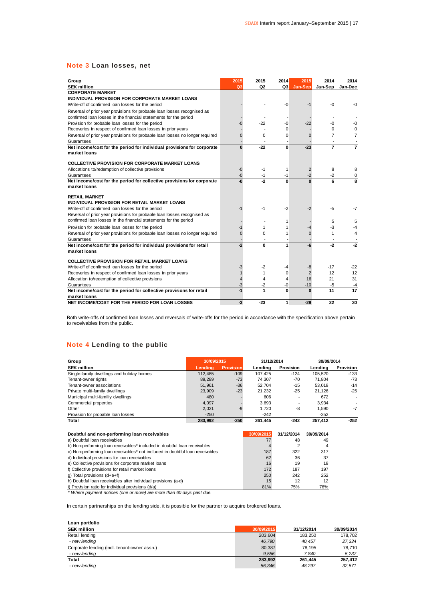#### **Note 3 Loan losses, net**

| Group                                                                         | 2015           | 2015           | 2014        | 2015           | 2014           | 2014            |
|-------------------------------------------------------------------------------|----------------|----------------|-------------|----------------|----------------|-----------------|
| <b>SEK million</b>                                                            | Q3             | Q <sub>2</sub> | Q3          | Jan-Sep        | Jan-Sep        | Jan-Dec         |
| <b>CORPORATE MARKET</b><br>INDIVIDUAL PROVISION FOR CORPORATE MARKET LOANS    |                |                |             |                |                |                 |
|                                                                               |                |                |             | $-1$           |                | -0              |
| Write-off of confirmed loan losses for the period                             |                |                | -0          |                | -0             |                 |
| Reversal of prior year provisions for probable loan losses recognised as      |                |                |             |                |                |                 |
| confirmed loan losses in the financial statements for the period              |                |                |             |                |                |                 |
| Provision for probable loan losses for the period                             | -0             | $-22$          | -0          | $-22$          | -0             | -0              |
| Recoveries in respect of confirmed loan losses in prior years                 |                |                | $\Omega$    |                | $\Omega$       | $\Omega$        |
| Reversal of prior year provisions for probable loan losses no longer required | 0              | $\Omega$       | $\mathbf 0$ | $\Omega$       | 7              | $\overline{7}$  |
| Guarantees                                                                    |                |                |             |                |                |                 |
| Net income/cost for the period for individual provisions for corporate        | $\bf{0}$       | $-22$          | 0           | $-23$          | $\overline{7}$ | 7               |
| market loans                                                                  |                |                |             |                |                |                 |
| <b>COLLECTIVE PROVISION FOR CORPORATE MARKET LOANS</b>                        |                |                |             |                |                |                 |
| Allocations to/redemption of collective provisions                            | $-0$           | $-1$           | 1           | $\overline{2}$ | 8              | 8               |
| Guarantees                                                                    | $-0$           | -1             | -1          | $-2$           | $-2$           | 0               |
| Net income/cost for the period for collective provisions for corporate        | -0             | $-2$           | $\Omega$    | $\mathbf{0}$   | 6              | 8               |
| market loans                                                                  |                |                |             |                |                |                 |
| <b>RETAIL MARKET</b>                                                          |                |                |             |                |                |                 |
| INDIVIDUAL PROVISION FOR RETAIL MARKET LOANS                                  |                |                |             |                |                |                 |
| Write-off of confirmed loan losses for the period                             | -1             | -1             | $-2$        | $-2$           | $-5$           | $-7$            |
| Reversal of prior year provisions for probable loan losses recognised as      |                |                |             |                |                |                 |
| confirmed loan losses in the financial statements for the period              |                |                | 1           |                | 5              | 5               |
| Provision for probable loan losses for the period                             | $-1$           | 1              | 1           | -4             | $-3$           | -4              |
| Reversal of prior year provisions for probable loan losses no longer required | $\overline{0}$ | $\Omega$       | 1           | 0              |                | $\overline{4}$  |
| Guarantees                                                                    |                |                |             |                |                |                 |
| Net income/cost for the period for individual provisions for retail           | $-2$           | 0              | 1           | -6             | $-2$           | $-2$            |
| market loans                                                                  |                |                |             |                |                |                 |
| <b>COLLECTIVE PROVISION FOR RETAIL MARKET LOANS</b>                           |                |                |             |                |                |                 |
| Write-off of confirmed loan losses for the period                             | $-3$           | -2             | -4          | -8             | $-17$          | $-22$           |
| Recoveries in respect of confirmed loan losses in prior years                 |                | 1              | $\Omega$    | $\overline{2}$ | 12             | 12              |
| Allocation to/redemption of collective provisions                             | 4              | 4              | 4           | 16             | 21             | 31              |
| Guarantees                                                                    | $-3$           | $-2$           | -0          | $-10$          | $-5$           | $-4$            |
| Net income/cost for the period for collective provisions for retail           | $-1$           | 1              | 0           | $\bf{0}$       | 11             | $\overline{17}$ |
| market loans                                                                  |                |                |             |                |                |                 |
| NET INCOME/COST FOR THE PERIOD FOR LOAN LOSSES                                | $-3$           | $-23$          | 1           | $-29$          | 22             | 30              |

Both write-offs of confirmed loan losses and reversals of write-offs for the period in accordance with the specification above pertain to receivables from the public.

### **Note 4 Lending to the public**

| Group                                     | 30/09/2015<br>31/12/2014 |                  |         |                          | 30/09/2014 |                          |  |
|-------------------------------------------|--------------------------|------------------|---------|--------------------------|------------|--------------------------|--|
| <b>SEK million</b>                        | Lendina                  | <b>Provision</b> | Lendina | Provision                | Lendina    | Provision                |  |
| Single-family dwellings and holiday homes | 112.485                  | $-109$           | 107.425 | $-124$                   | 105.520    | $-133$                   |  |
| Tenant-owner rights                       | 89,289                   | $-73$            | 74.307  | -70                      | 71.804     | -73                      |  |
| Tenant-owner associations                 | 51,961                   | $-36$            | 52.704  | $-15$                    | 53.018     | $-14$                    |  |
| Private multi-family dwellings            | 23.909                   | $-23$            | 21.232  | $-25$                    | 21.126     | $-25$                    |  |
| Municipal multi-familiy dwellings         | 480                      |                  | 606     |                          | 672        | $\overline{\phantom{a}}$ |  |
| Commercial properties                     | 4.097                    |                  | 3.693   | $\overline{\phantom{a}}$ | 3.934      |                          |  |
| Other                                     | 2.021                    | $-9$             | 1.720   | -8                       | 1.590      | $-7$                     |  |
| Provision for probable loan losses        | $-250$                   |                  | $-242$  |                          | $-252$     |                          |  |
| Total                                     | 283,992                  | $-250$           | 261,445 | $-242$                   | 257.412    | $-252$                   |  |

| Doubtful and non-performing loan receivables                                  | 30/09/2015 | 31/12/2014 | 30/09/2014 |  |
|-------------------------------------------------------------------------------|------------|------------|------------|--|
| a) Doubtful Ioan receivables                                                  |            | 48         | 49         |  |
| b) Non-performing loan receivables* included in doubtful loan receivables     |            |            | 4          |  |
| c) Non-performing loan receivables* not included in doubtful loan receivables | 187        | 322        | 317        |  |
| d) Individual provisions for loan receivables                                 | 62         | 36         | 37         |  |
| e) Collective provisions for corporate market loans                           | 16         | 19         | 18         |  |
| f) Collective provisions for retail market loans                              | 172        | 187        | 197        |  |
| g) Total provisions $(d+e+f)$                                                 | 250        | 242        | 252        |  |
| h) Doubtful loan receivables after individual provisions (a-d)                | 15         | 12         | 12         |  |
| i) Provision ratio for individual provisions (d/a)                            | 81%        | 75%        | 76%        |  |
| * Where payment notices (one or more) are more than 60 days past due.         |            |            |            |  |

In certain partnerships on the lending side, it is possible for the partner to acquire brokered loans.

| Loan portfolio                               |            |            |            |
|----------------------------------------------|------------|------------|------------|
| <b>SEK million</b>                           | 30/09/2015 | 31/12/2014 | 30/09/2014 |
| Retail lending                               | 203.604    | 183.250    | 178,702    |
| - new lending                                | 46.790     | 40.457     | 27,334     |
| Corporate lending (incl. tenant-owner assn.) | 80.387     | 78.195     | 78,710     |
| - new lending                                | 9.556      | 7.840      | 5,237      |
| Total                                        | 283.992    | 261.445    | 257.412    |
| - new lending                                | 56,346     | 48.297     | 32.571     |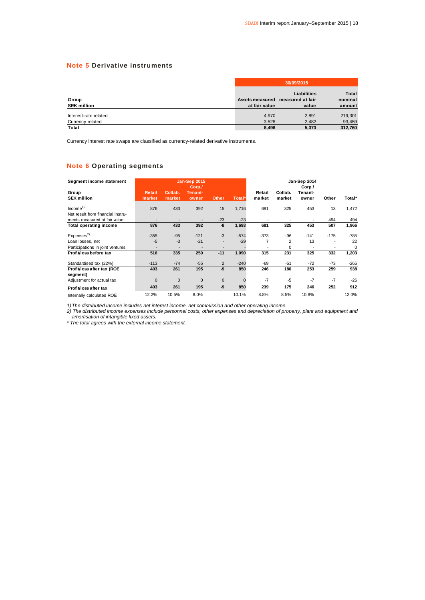### **Note 5 Derivative instruments**

|                       |               | 30/09/2015                       |              |  |  |  |  |
|-----------------------|---------------|----------------------------------|--------------|--|--|--|--|
|                       |               | Liabilities                      | <b>Total</b> |  |  |  |  |
| Group                 |               | Assets measured measured at fair | nominal      |  |  |  |  |
| <b>SEK million</b>    | at fair value | value                            | amount       |  |  |  |  |
|                       |               |                                  |              |  |  |  |  |
| Interest-rate related | 4,970         | 2,891                            | 219,301      |  |  |  |  |
| Currency related      | 3,528         | 2.482                            | 93,459       |  |  |  |  |
| Total                 | 8.498         | 5,373                            | 312.760      |  |  |  |  |

Currency interest rate swaps are classified as currency-related derivative instruments.

### **Note 6 Operating segments**

| Segment income statement          |               |              | <b>Jan-Sep 2015</b><br>Corp./ |                |          |        |         | Jan-Sep 2014<br>Corp./ |        |             |
|-----------------------------------|---------------|--------------|-------------------------------|----------------|----------|--------|---------|------------------------|--------|-------------|
| Group                             | <b>Retail</b> | Collab.      | Tenant-                       |                |          | Retail | Collab. | Tenant-                |        |             |
| <b>SEK million</b>                | market        | market       | owner                         | <b>Other</b>   | Total*   | market | market  | owner                  | Other  | Total*      |
| Income <sup>1</sup>               | 876           | 433          | 392                           | 15             | 1,716    | 681    | 325     | 453                    | 13     | 1,472       |
| Net result from financial instru- |               |              |                               |                |          |        |         |                        |        |             |
| ments measured at fair value      |               |              |                               | $-23$          | $-23$    |        |         |                        | 494    | 494         |
| <b>Total operating income</b>     | 876           | 433          | 392                           | -8             | 1,693    | 681    | 325     | 453                    | 507    | 1,966       |
| Expenses <sup>2</sup>             | $-355$        | $-95$        | $-121$                        | $-3$           | $-574$   | $-373$ | $-96$   | $-141$                 | $-175$ | $-785$      |
| Loan losses, net                  | $-5$          | $-3$         | $-21$                         | $\overline{a}$ | $-29$    | 7      | 2       | 13                     |        | 22          |
| Participations in joint ventures  |               |              |                               |                |          |        | 0       |                        |        | $\mathbf 0$ |
| Profit/loss before tax            | 516           | 335          | 250                           | $-11$          | 1,090    | 315    | 231     | 325                    | 332    | 1,203       |
| Standardised tax (22%)            | $-113$        | $-74$        | $-55$                         | $\overline{2}$ | $-240$   | $-69$  | $-51$   | $-72$                  | $-73$  | $-265$      |
| Profit/loss after tax (ROE        | 403           | 261          | 195                           | -9             | 850      | 246    | 180     | 253                    | 259    | 938         |
| segment)                          |               |              |                               |                |          |        |         |                        |        |             |
| Adjustment for actual tax         | $\mathbf{0}$  | $\mathbf{0}$ | $\mathbf 0$                   | 0              | $\Omega$ | $-7$   | $-5$    | $-7$                   | $-7$   | $-26$       |
| Profit/loss after tax             | 403           | 261          | 195                           | -9             | 850      | 239    | 175     | 246                    | 252    | 912         |
| Internally calculated ROE         | 12.2%         | 10.5%        | 8.0%                          |                | 10.1%    | 8.8%   | 8.5%    | 10.8%                  |        | 12.0%       |

*1)The distributed income includes net interest income, net commission and other operating income.*

*2) The distributed income expenses include personnel costs, other expenses and depreciation of property, plant and equipment and amortisation of intangible fixed assets.*

*\* The total agrees with the external income statement.*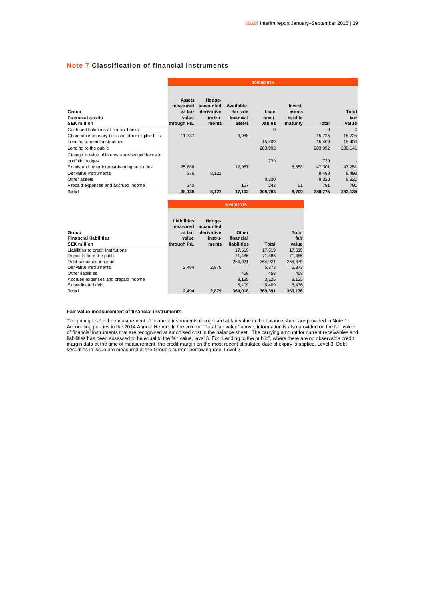### **Note 7 Classification of financial instruments**

|                                                                      |                                                       |                                                       |                                               | 30/09/2015               |                                         |          |                        |
|----------------------------------------------------------------------|-------------------------------------------------------|-------------------------------------------------------|-----------------------------------------------|--------------------------|-----------------------------------------|----------|------------------------|
| Group<br><b>Financial assets</b><br><b>SEK million</b>               | Assets<br>measured<br>at fair<br>value<br>through P/L | Hedge-<br>accounted<br>derivative<br>instru-<br>ments | Available-<br>for-sale<br>financial<br>assets | Loan<br>recei-<br>vables | Invest-<br>ments<br>held to<br>maturity | Total    | Total<br>fair<br>value |
| Cash and balances at central banks                                   |                                                       |                                                       |                                               | $\Omega$                 |                                         | $\Omega$ | $\Omega$               |
| Chargeable treasury bills and other eligible bills                   | 11,737                                                |                                                       | 3,988                                         |                          |                                         | 15,725   | 15,725                 |
| Lending to credit institutions                                       |                                                       |                                                       |                                               | 15,409                   |                                         | 15,409   | 15,409                 |
| Lending to the public                                                |                                                       |                                                       |                                               | 283,992                  |                                         | 283,992  | 286,141                |
| Change in value of interest-rate-hedged items in<br>portfolio hedges |                                                       |                                                       |                                               | 739                      |                                         | 739      |                        |
| Bonds and other interest-bearing securities                          | 25,686                                                |                                                       | 12,957                                        |                          | 8,658                                   | 47,301   | 47,251                 |
| Derivative instruments                                               | 376                                                   | 8,122                                                 |                                               |                          |                                         | 8,498    | 8,498                  |
| Other assets                                                         |                                                       |                                                       |                                               | 8,320                    |                                         | 8,320    | 8,320                  |
| Prepaid expenses and accrued income                                  | 340                                                   |                                                       | 157                                           | 243                      | 51                                      | 791      | 791                    |
| Total                                                                | 38,139                                                | 8,122                                                 | 17,102                                        | 308,703                  | 8,709                                   | 380,775  | 382,135                |

|                                     |                                    | 30/09/2015                        |             |         |         |  |  |
|-------------------------------------|------------------------------------|-----------------------------------|-------------|---------|---------|--|--|
| Group                               | Liabilities<br>measured<br>at fair | Hedge-<br>accounted<br>derivative | Other       |         | Total   |  |  |
| <b>Financial liabilities</b>        | value                              | instru-                           | financial   |         | fair    |  |  |
| <b>SEK million</b>                  | through P/L                        | ments                             | liabilities | Total   | value   |  |  |
| Liabilities to credit institutions  |                                    |                                   | 17.619      | 17.619  | 17,619  |  |  |
| Deposits from the public            |                                    |                                   | 71.486      | 71.486  | 71,486  |  |  |
| Debt securities in issue            |                                    |                                   | 264.921     | 264.921 | 258.679 |  |  |
| Derivative instruments              | 2.494                              | 2,879                             |             | 5.373   | 5,373   |  |  |
| Other liabilities                   |                                    |                                   | 458         | 458     | 458     |  |  |
| Accrued expenses and prepaid income |                                    |                                   | 3.125       | 3.125   | 3,125   |  |  |
| Subordinated debt                   |                                    |                                   | 6.409       | 6.409   | 6,436   |  |  |
| Total                               | 2.494                              | 2.879                             | 364.018     | 369.391 | 363.176 |  |  |

#### **Fair value measurement of financial instruments**

The principles for the measurement of financial instruments recognised at fair value in the balance sheet are provided in Note 1 Accounting policies in the 2014 Annual Report. In the column "Total fair value" above, information is also provided on the fair value of financial instruments that are recognised at amortised cost in the balance sheet. The carrying amount for current receivables and liabilities has been assessed to be equal to the fair value, level 3. For "Lending to the public", where there are no observable credit margin data at the time of measurement, the credit margin on the most recent stipulated date of expiry is applied, Level 3. Debt<br>securities in issue are measured at the Group's current borrowing rate, Level 2.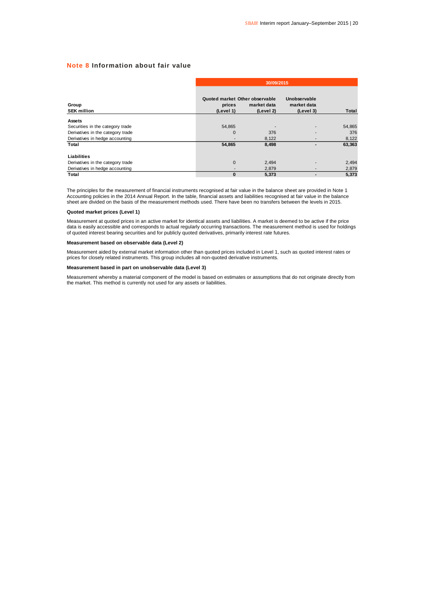### **Note 8 Information about fair value**

| Group<br><b>SEK million</b>       |                                                       | 30/09/2015               |                                          |        |  |  |  |  |  |
|-----------------------------------|-------------------------------------------------------|--------------------------|------------------------------------------|--------|--|--|--|--|--|
|                                   | Quoted market Other observable<br>prices<br>(Level 1) | market data<br>(Level 2) | Unobservable<br>market data<br>(Level 3) | Total  |  |  |  |  |  |
| Assets                            |                                                       |                          |                                          |        |  |  |  |  |  |
| Securities in the category trade  | 54,865                                                |                          |                                          | 54,865 |  |  |  |  |  |
| Derivatives in the category trade | 0                                                     | 376                      |                                          | 376    |  |  |  |  |  |
| Derivatives in hedge accounting   |                                                       | 8,122                    |                                          | 8,122  |  |  |  |  |  |
| Total                             | 54,865                                                | 8,498                    |                                          | 63,363 |  |  |  |  |  |
| Liabilities                       |                                                       |                          |                                          |        |  |  |  |  |  |
| Derivatives in the category trade | $\mathbf{0}$                                          | 2,494                    |                                          | 2,494  |  |  |  |  |  |
| Derivatives in hedge accounting   |                                                       | 2,879                    |                                          | 2,879  |  |  |  |  |  |
| Total                             | $\bf{0}$                                              | 5,373                    |                                          | 5,373  |  |  |  |  |  |

The principles for the measurement of financial instruments recognised at fair value in the balance sheet are provided in Note 1 Accounting policies in the 2014 Annual Report. In the table, financial assets and liabilities recognised at fair value in the balance<br>sheet are divided on the basis of the measurement methods used. There have been no trans

#### **Quoted market prices (Level 1)**

Measurement at quoted prices in an active market for identical assets and liabilities. A market is deemed to be active if the price data is easily accessible and corresponds to actual regularly occurring transactions. The measurement method is used for holdings<br>of quoted interest bearing securities and for publicly quoted derivatives, primarily interes

#### **Measurement based on observable data (Level 2)**

Measurement aided by external market information other than quoted prices included in Level 1, such as quoted interest rates or prices for closely related instruments. This group includes all non-quoted derivative instruments.

#### **Measurement based in part on unobservable data (Level 3)**

Measurement whereby a material component of the model is based on estimates or assumptions that do not originate directly from the market. This method is currently not used for any assets or liabilities.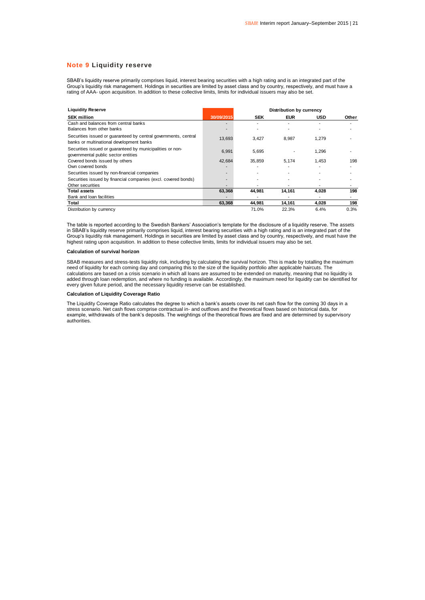#### **Note 9 Liquidity reserve**

SBAB's liquidity reserve primarily comprises liquid, interest bearing securities with a high rating and is an integrated part of the Group's liquidity risk management. Holdings in securities are limited by asset class and by country, respectively, and must have a<br>rating of AAA- upon acquisition. In addition to these collective limits, limits for individ

| <b>Liquidity Reserve</b>                                                                                    |            | Distribution by currency |            |            |       |  |
|-------------------------------------------------------------------------------------------------------------|------------|--------------------------|------------|------------|-------|--|
| <b>SEK million</b>                                                                                          | 30/09/2015 | <b>SEK</b>               | <b>EUR</b> | <b>USD</b> | Other |  |
| Cash and balances from central banks<br>Balances from other banks                                           |            |                          |            |            |       |  |
| Securities issued or guaranteed by central governments, central<br>banks or multinational development banks | 13,693     | 3,427                    | 8,987      | 1,279      |       |  |
| Securities issued or quaranteed by municipalities or non-<br>governmental public sector entities            | 6,991      | 5.695                    |            | 1,296      |       |  |
| Covered bonds issued by others                                                                              | 42,684     | 35.859                   | 5.174      | 1.453      | 198   |  |
| Own covered bonds                                                                                           |            |                          |            |            |       |  |
| Securities issued by non-financial companies                                                                |            |                          |            |            |       |  |
| Securities issued by financial companies (excl. covered bonds)                                              |            |                          |            |            |       |  |
| Other securities                                                                                            |            |                          |            |            |       |  |
| <b>Total assets</b>                                                                                         | 63,368     | 44,981                   | 14,161     | 4,028      | 198   |  |
| Bank and loan facilities                                                                                    |            |                          |            |            |       |  |
| Total                                                                                                       | 63,368     | 44,981                   | 14,161     | 4.028      | 198   |  |
| Distribution by currency                                                                                    |            | 71.0%                    | 22.3%      | 6.4%       | 0.3%  |  |

The table is reported according to the Swedish Bankers' Association's template for the disclosure of a liquidity reserve. The assets in SBAB's liquidity reserve primarily comprises liquid, interest bearing securities with a high rating and is an integrated part of the Group's liquidity risk management. Holdings in securities are limited by asset class and by country, respectively, and must have the highest rating upon acquisition. In addition to these collective limits, limits for individual issuers may also be set.

#### **Calculation of survival horizon**

SBAB measures and stress-tests liquidity risk, including by calculating the survival horizon. This is made by totalling the maximum need of liquidity for each coming day and comparing this to the size of the liquidity portfolio after applicable haircuts. The calculations are based on a crisis scenario in which all loans are assumed to be extended on maturity, meaning that no liquidity is added through loan redemption, and where no funding is available. Accordingly, the maximum need for liquidity can be identified for every given future period, and the necessary liquidity reserve can be established.

#### **Calculation of Liquidity Coverage Ratio**

The Liquidity Coverage Ratio calculates the degree to which a bank's assets cover its net cash flow for the coming 30 days in a stress scenario. Net cash flows comprise contractual in- and outflows and the theoretical flows based on historical data, for example, withdrawals of the bank's deposits. The weightings of the theoretical flows are fixed and are determined by supervisory authorities.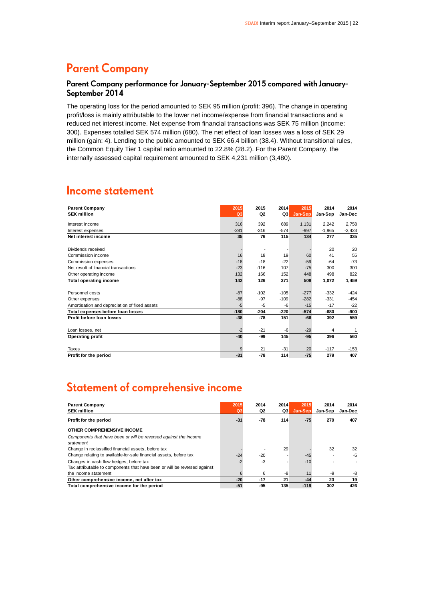### **Parent Company**

### Parent Company performance for January-September 2015 compared with January-September 2014

The operating loss for the period amounted to SEK 95 million (profit: 396). The change in operating profit/loss is mainly attributable to the lower net income/expense from financial transactions and a reduced net interest income. Net expense from financial transactions was SEK 75 million (income: 300). Expenses totalled SEK 574 million (680). The net effect of loan losses was a loss of SEK 29 million (gain: 4). Lending to the public amounted to SEK 66.4 billion (38.4). Without transitional rules, the Common Equity Tier 1 capital ratio amounted to 22.8% (28.2). For the Parent Company, the internally assessed capital requirement amounted to SEK 4,231 million (3,480).

### **Income statement**

| <b>Parent Company</b>                         | 2015           | 2015           | 2014   | 2015    | 2014     | 2014     |
|-----------------------------------------------|----------------|----------------|--------|---------|----------|----------|
| <b>SEK million</b>                            | Q <sub>3</sub> | Q <sub>2</sub> | Q3     | Jan-Sep | Jan-Sep  | Jan-Dec  |
| Interest income                               | 316            | 392            | 689    | 1,131   | 2.242    | 2,758    |
| Interest expenses                             | $-281$         | $-316$         | $-574$ | $-997$  | $-1,965$ | $-2,423$ |
| Net interest income                           | 35             | 76             | 115    | 134     | 277      | 335      |
| Dividends received                            |                |                |        |         | 20       | 20       |
| Commission income                             | 16             | 18             | 19     | 60      | 41       | 55       |
| Commission expenses                           | $-18$          | $-18$          | $-22$  | $-59$   | $-64$    | $-73$    |
| Net result of financial transactions          | $-23$          | $-116$         | 107    | $-75$   | 300      | 300      |
| Other operating income                        | 132            | 166            | 152    | 448     | 498      | 822      |
| <b>Total operating income</b>                 | 142            | 126            | 371    | 508     | 1,072    | 1,459    |
|                                               |                |                |        |         |          |          |
| Personnel costs                               | $-87$          | $-102$         | $-105$ | $-277$  | $-332$   | $-424$   |
| Other expenses                                | $-88$          | $-97$          | $-109$ | $-282$  | $-331$   | $-454$   |
| Amortisation and depreciation of fixed assets | $-5$           | $-5$           | -6     | $-15$   | $-17$    | $-22$    |
| Total expenses before loan losses             | $-180$         | $-204$         | $-220$ | $-574$  | -680     | -900     |
| Profit before loan losses                     | $-38$          | -78            | 151    | -66     | 392      | 559      |
|                                               |                |                |        |         |          |          |
| Loan losses, net                              | $-2$           | $-21$          | -6     | $-29$   | 4        | 1        |
| <b>Operating profit</b>                       | $-40$          | -99            | 145    | $-95$   | 396      | 560      |
|                                               |                |                |        |         |          |          |
| Taxes                                         | 9              | 21             | $-31$  | 20      | $-117$   | $-153$   |
| Profit for the period                         | $-31$          | $-78$          | 114    | $-75$   | 279      | 407      |

### Statement of comprehensive income

| <b>Parent Company</b><br><b>SEK million</b>                                   | 2015<br>Q <sub>3</sub> | 2014<br>Q2 | 2014<br>Q3 | 2015<br>Jan-Sep | 2014<br>Jan-Sep | 2014<br>Jan-Dec |
|-------------------------------------------------------------------------------|------------------------|------------|------------|-----------------|-----------------|-----------------|
| Profit for the period                                                         | $-31$                  | -78        | 114        | -75             | 279             | 407             |
| OTHER COMPREHENSIVE INCOME                                                    |                        |            |            |                 |                 |                 |
| Components that have been or will be reversed against the income<br>statement |                        |            |            |                 |                 |                 |
| Change in reclassified financial assets, before tax                           |                        |            | 29         |                 | 32              | 32              |
| Change relating to available-for-sale financial assets, before tax            | $-24$                  | $-20$      |            | $-45$           |                 | -5              |
| Changes in cash flow hedges, before tax                                       | $-2$                   | $-3$       |            | $-10$           |                 |                 |
| Tax attributable to components that have been or will be reversed against     |                        |            |            |                 |                 |                 |
| the income statement                                                          | 6                      | 6          | -8         | 11              | -9              | -8              |
| Other comprehensive income, net after tax                                     | $-20$                  | $-17$      | 21         | $-44$           | 23              | 19              |
| Total comprehensive income for the period                                     | $-51$                  | -95        | 135        | $-119$          | 302             | 426             |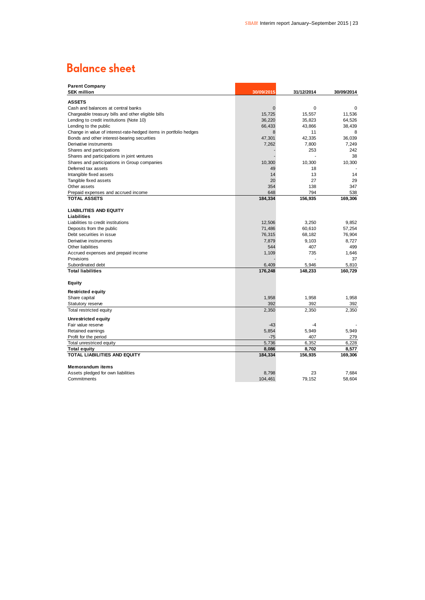### **Balance sheet**

| <b>Parent Company</b><br><b>SEK million</b>                       | 30/09/2015     | 31/12/2014 | 30/09/2014  |
|-------------------------------------------------------------------|----------------|------------|-------------|
| <b>ASSETS</b>                                                     |                |            |             |
| Cash and balances at central banks                                | $\overline{0}$ | 0          | $\mathbf 0$ |
| Chargeable treasury bills and other eligible bills                | 15,725         | 15,557     | 11,536      |
| Lending to credit institutions (Note 10)                          | 36,220         | 35,823     | 64,526      |
| Lending to the public                                             | 66,433         | 43,866     | 38,439      |
| Change in value of interest-rate-hedged items in portfolio hedges | 8              | 11         | 8           |
| Bonds and other interest-bearing securities                       | 47,301         | 42,335     | 36,039      |
| Derivative instruments                                            | 7,262          | 7,800      | 7,249       |
| Shares and participations                                         |                | 253        | 242         |
| Shares and participations in joint ventures                       |                |            | 38          |
| Shares and participations in Group companies                      | 10,300         | 10,300     | 10,300      |
| Deferred tax assets                                               | 49             | 18         |             |
| Intangible fixed assets                                           | 14             | 13         | 14          |
| Tangible fixed assets                                             | 20             | 27         | 29          |
| Other assets                                                      | 354            | 138        | 347         |
| Prepaid expenses and accrued income                               | 648            | 794        | 538         |
| <b>TOTAL ASSETS</b>                                               | 184,334        | 156,935    | 169,306     |
|                                                                   |                |            |             |
| <b>LIABILITIES AND EQUITY</b>                                     |                |            |             |
| Liabilities                                                       |                |            |             |
| Liabilities to credit institutions                                | 12,506         | 3.250      | 9.852       |
| Deposits from the public                                          | 71,486         | 60,610     | 57,254      |
| Debt securities in issue                                          | 76,315         | 68,182     | 76,904      |
| Derivative instruments                                            | 7,879          | 9,103      | 8,727       |
| Other liabilities                                                 | 544            | 407        | 499         |
| Accrued expenses and prepaid income                               | 1,109          | 735        | 1,646       |
| Provisions                                                        |                |            | 37          |
| Subordinated debt                                                 | 6,409          | 5,946      | 5,810       |
| <b>Total liabilities</b>                                          | 176,248        | 148,233    | 160,729     |
|                                                                   |                |            |             |
| Equity                                                            |                |            |             |
| <b>Restricted equity</b>                                          |                |            |             |
| Share capital                                                     | 1,958          | 1,958      | 1,958       |
| Statutory reserve                                                 | 392            | 392        | 392         |
| Total restricted equity                                           | 2,350          | 2,350      | 2,350       |
| Unrestricted equity                                               |                |            |             |
| Fair value reserve                                                | $-43$          | $-4$       |             |
| Retained earnings                                                 | 5,854          | 5,949      | 5,949       |
| Profit for the period                                             | $-75$          | 407        | 279         |
| Total unrestriced equity                                          | 5,736          | 6,352      | 6.228       |
| <b>Total equity</b>                                               | 8,086          | 8,702      | 8,577       |
| TOTAL LIABILITIES AND EQUITY                                      | 184,334        | 156,935    | 169,306     |
|                                                                   |                |            |             |
| <b>Memorandum items</b>                                           |                |            |             |
| Assets pledged for own liabilities                                | 8,798          | 23         | 7.684       |
| Commitments                                                       | 104,461        | 79,152     | 58,604      |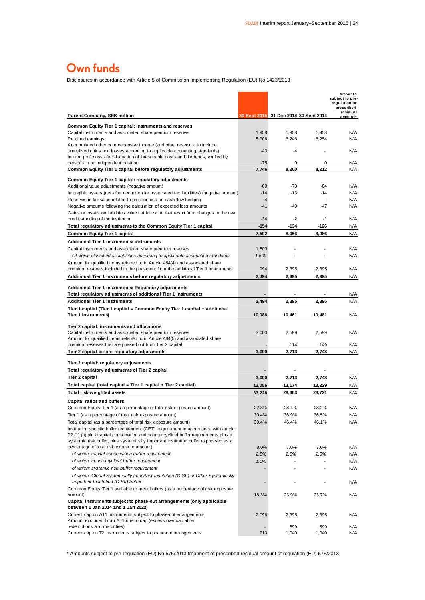### Own funds

Disclosures in accordance with Article 5 of Commission Implementing Regulation (EU) No 1423/2013

| Disclosures in accordance with Article 5 or Commission implementing Regulation (EO) NO 1423/2013                                                      |                |            |                                       |                                                           |
|-------------------------------------------------------------------------------------------------------------------------------------------------------|----------------|------------|---------------------------------------|-----------------------------------------------------------|
|                                                                                                                                                       |                |            |                                       | Amounts<br>subject to pre-<br>regulation or<br>prescribed |
| <b>Parent Company, SEK million</b>                                                                                                                    |                |            | 30 Sept 2015 31 Dec 2014 30 Sept 2014 | residual<br>amount*                                       |
| Common Equity Tier 1 capital: instruments and reserves                                                                                                |                |            |                                       |                                                           |
| Capital instruments and associated share premium reserves                                                                                             | 1,958          | 1,958      | 1,958                                 | N/A                                                       |
| Retained earnings<br>Accumulated other comprehensive income (and other reserves, to include                                                           | 5,906          | 6,246      | 6,254                                 | N/A                                                       |
| unrealised gains and losses according to applicable accounting standards)                                                                             | -43            | -4         |                                       | N/A                                                       |
| Interim profit/loss after deduction of foreseeable costs and dividends, verified by                                                                   |                |            |                                       |                                                           |
| persons in an independent position<br>Common Equity Tier 1 capital before regulatory adjustments                                                      | $-75$<br>7,746 | 0<br>8,200 | 0<br>8,212                            | N/A<br>N/A                                                |
|                                                                                                                                                       |                |            |                                       |                                                           |
| Common Equity Tier 1 capital: regulatory adjustments<br>Additional value adjustments (negative amount)                                                | -69            | $-70$      | $-64$                                 | N/A                                                       |
| Intangible assets (net after deduction for associated tax liabilities) (negative amount)                                                              | $-14$          | $-13$      | $-14$                                 | N/A                                                       |
| Reserves in fair value related to profit or loss on cash flow hedging                                                                                 | $\overline{4}$ |            |                                       | N/A                                                       |
| Negative amounts following the calculation of expected loss amounts                                                                                   | $-41$          | -49        | -47                                   | N/A                                                       |
| Gains or losses on liabilities valued at fair value that result from changes in the own                                                               |                | $-2$       |                                       |                                                           |
| credit standing of the institution<br>Total regulatory adjustments to the Common Equity Tier 1 capital                                                | -34<br>$-154$  | $-134$     | -1<br>$-126$                          | N/A<br>N/A                                                |
| <b>Common Equity Tier 1 capital</b>                                                                                                                   | 7,592          | 8,066      | 8,086                                 | N/A                                                       |
| <b>Additional Tier 1 instruments: instruments</b>                                                                                                     |                |            |                                       |                                                           |
| Capital instruments and associated share premium reserves                                                                                             | 1,500          |            |                                       | N/A                                                       |
| Of which classified as liabilities according to applicable accounting standards                                                                       | 1,500          |            |                                       | N/A                                                       |
| Amount for qualified items referred to in Article 484(4) and associated share                                                                         |                |            |                                       |                                                           |
| premium reserves included in the phase-out from the additional Tier 1 instruments                                                                     | 994            | 2,395      | 2,395                                 | N/A                                                       |
| Additional Tier 1 instruments before regulatory adjustments                                                                                           | 2,494          | 2,395      | 2.395                                 | N/A                                                       |
| Additional Tier 1 instruments: Regulatory adjustments                                                                                                 |                |            |                                       |                                                           |
| Total regulatory adjustments of additional Tier 1 instruments                                                                                         |                |            |                                       | N/A                                                       |
| <b>Additional Tier 1 instruments</b>                                                                                                                  | 2,494          | 2,395      | 2,395                                 | N/A                                                       |
| Tier 1 capital (Tier 1 capital = Common Equity Tier 1 capital + additional<br>Tier 1 instruments)                                                     | 10,086         | 10,461     | 10,481                                | N/A                                                       |
|                                                                                                                                                       |                |            |                                       |                                                           |
| Tier 2 capital: instruments and allocations                                                                                                           |                |            |                                       |                                                           |
| Capital instruments and associated share premium reserves<br>Amount for qualified items referred to in Article 484(5) and associated share            | 3,000          | 2,599      | 2,599                                 | N/A                                                       |
| premium reserves that are phased out from Tier 2 capital                                                                                              |                | 114        | 149                                   | N/A                                                       |
| Tier 2 capital before regulatory adjustments                                                                                                          | 3,000          | 2,713      | 2,748                                 | N/A                                                       |
| Tier 2 capital: regulatory adjustments                                                                                                                |                |            |                                       |                                                           |
| Total regulatory adjustments of Tier 2 capital                                                                                                        |                |            |                                       |                                                           |
| Tier 2 capital                                                                                                                                        | 3,000          | 2,713      | 2,748                                 | N/A                                                       |
| Total capital (total capital = Tier 1 capital + Tier 2 capital)                                                                                       | 13,086         | 13,174     | 13,229                                | N/A                                                       |
| Total risk-weighted assets                                                                                                                            | 33.226         | 28,363     | 28,721                                | N/A                                                       |
| <b>Capital ratios and buffers</b>                                                                                                                     |                |            |                                       |                                                           |
| Common Equity Tier 1 (as a percentage of total risk exposure amount)                                                                                  | 22.8%          | 28.4%      | 28.2%                                 | N/A                                                       |
| Tier 1 (as a percentage of total risk exposure amount)                                                                                                | 30.4%          | 36.9%      | 36.5%                                 | N/A                                                       |
| Total capital (as a percentage of total risk exposure amount)<br>Institution specific buffer requirement (CET1 requirement in accordance with article | 39.4%          | 46.4%      | 46.1%                                 | N/A                                                       |
| 92 (1) (a) plus capital conservation and countercyclical buffer requirements plus a                                                                   |                |            |                                       |                                                           |
| systemic risk buffer, plus systemically important institution buffer expressed as a                                                                   |                |            |                                       |                                                           |
| percentage of total risk exposure amount)<br>of which: capital conservation buffer requirement                                                        | 8.0%           | 7.0%       | 7.0%                                  | N/A                                                       |
| of which: countercyclical buffer requirement                                                                                                          | 2.5%<br>1.0%   | 2.5%       | 2.5%                                  | N/A<br>N/A                                                |
| of which: systemic risk buffer requirement                                                                                                            |                |            |                                       | N/A                                                       |
| of which: Global Systemically Important Institution (G-SII) or Other Systemically<br>Important Institution (O-SII) buffer                             |                |            |                                       | N/A                                                       |
| Common Equity Tier 1 available to meet buffers (as a percentage of risk exposure<br>amount)                                                           | 18.3%          | 23.9%      | 23.7%                                 | N/A                                                       |
| Capital instruments subject to phase-out arrangements (only applicable<br>between 1 Jan 2014 and 1 Jan 2022)                                          |                |            |                                       |                                                           |
| Current cap on AT1 instruments subject to phase-out arrangements<br>Amount excluded f rom AT1 due to cap (excess over cap af ter                      | 2,096          | 2,395      | 2,395                                 | N/A                                                       |
| redemptions and maturities)                                                                                                                           |                | 599        | 599                                   | N/A                                                       |
| Current cap on T2 instruments subject to phase-out arrangements                                                                                       | 910            | 1,040      | 1,040                                 | N/A                                                       |

\* Amounts subject to pre-regulation (EU) No 575/2013 treatment of prescribed residual amount of regulation (EU) 575/2013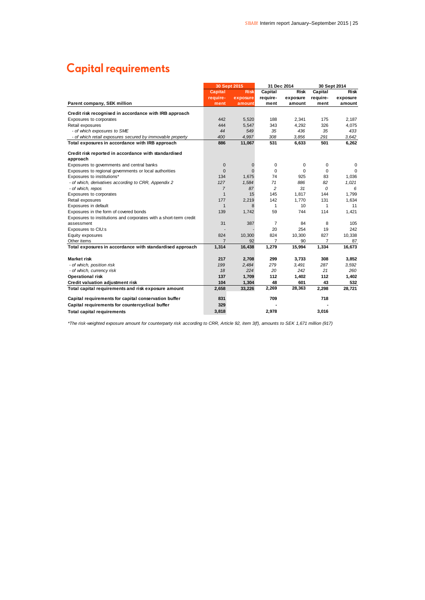### **Capital requirements**

|                                                                   |                | 30 Sept 2015 | 31 Dec 2014    |          |          | 30 Sept 2014 |
|-------------------------------------------------------------------|----------------|--------------|----------------|----------|----------|--------------|
|                                                                   | <b>Capital</b> | <b>Risk</b>  | Capital        | Risk     | Capital  | Risk         |
|                                                                   | require-       | exposure     | require-       | exposure | require- | exposure     |
| Parent company, SEK million                                       | ment           | amount       | ment           | amount   | ment     | amount       |
| Credit risk recognised in accordance with IRB approach            |                |              |                |          |          |              |
| Exposures to corporates                                           | 442            | 5,520        | 188            | 2,341    | 175      | 2,187        |
| Retail exposures                                                  | 444            | 5,547        | 343            | 4.292    | 326      | 4,075        |
| - of which exposures to SME                                       | 44             | 549          | 35             | 436      | 35       | 433          |
| - of which retail exposures secured by immovable property         | 400            | 4.997        | 308            | 3.856    | 291      | 3.642        |
| Total exposures in accordance with IRB approach                   | 886            | 11,067       | 531            | 6,633    | 501      | 6,262        |
| Credit risk reported in accordance with standardised              |                |              |                |          |          |              |
| approach                                                          |                |              |                |          |          |              |
| Exposures to governments and central banks                        | $\mathbf 0$    | 0            | 0              | 0        | 0        | 0            |
| Exposures to regional governments or local authorities            | $\overline{0}$ | $\Omega$     | $\mathbf 0$    | $\Omega$ | $\Omega$ | 0            |
| Exposures to institutions*                                        | 134            | 1.675        | 74             | 925      | 83       | 1,036        |
| - of which, derivatives according to CRR, Appendix 2              | 127            | 1,584        | 71             | 886      | 82       | 1,021        |
| - of which, repos                                                 | $\overline{7}$ | 87           | 2              | 31       | 0        | 6            |
| Exposures to corporates                                           | $\mathbf{1}$   | 15           | 145            | 1,817    | 144      | 1.799        |
| Retail exposures                                                  | 177            | 2,219        | 142            | 1,770    | 131      | 1,634        |
| Exposures in default                                              | $\mathbf{1}$   | 8            | 1              | 10       | 1        | 11           |
| Exposures in the form of covered bonds                            | 139            | 1,742        | 59             | 744      | 114      | 1,421        |
| Exposures to institutions and corporates with a short-term credit |                |              |                |          |          |              |
| assessment                                                        | 31             | 387          | $\overline{7}$ | 84       | 8        | 105          |
| Exposures to CIU:s                                                |                |              | 20             | 254      | 19       | 242          |
| Equity exposures                                                  | 824            | 10,300       | 824            | 10,300   | 827      | 10,338       |
| Other items                                                       | $\overline{7}$ | 92           | $\overline{7}$ | 90       | 7        | 87           |
| Total exposures in accordance with standardised approach          | 1,314          | 16,438       | 1,279          | 15.994   | 1,334    | 16,673       |
| <b>Market risk</b>                                                | 217            | 2,708        | 299            | 3,733    | 308      | 3,852        |
| - of which, position risk                                         | 199            | 2,484        | 279            | 3,491    | 287      | 3,592        |
| - of which, currency risk                                         | 18             | 224          | 20             | 242      | 21       | 260          |
| <b>Operational risk</b>                                           | 137            | 1,709        | 112            | 1,402    | 112      | 1,402        |
| Credit valuation adjustment risk                                  | 104            | 1,304        | 48             | 601      | 43       | 532          |
| Total capital requirements and risk exposure amount               | 2,658          | 33,226       | 2,269          | 28,363   | 2,298    | 28,721       |
| Capital requirements for capital conservation buffer              | 831            |              | 709            |          | 718      |              |
| Capital requirements for countercyclical buffer                   | 329            |              |                |          |          |              |
| <b>Total capital requirements</b>                                 | 3,818          |              | 2,978          |          | 3,016    |              |

*\*The risk-weighted exposure amount for counterparty risk according to CRR, Article 92, item 3(f), amounts to SEK 1,671 million (917)*